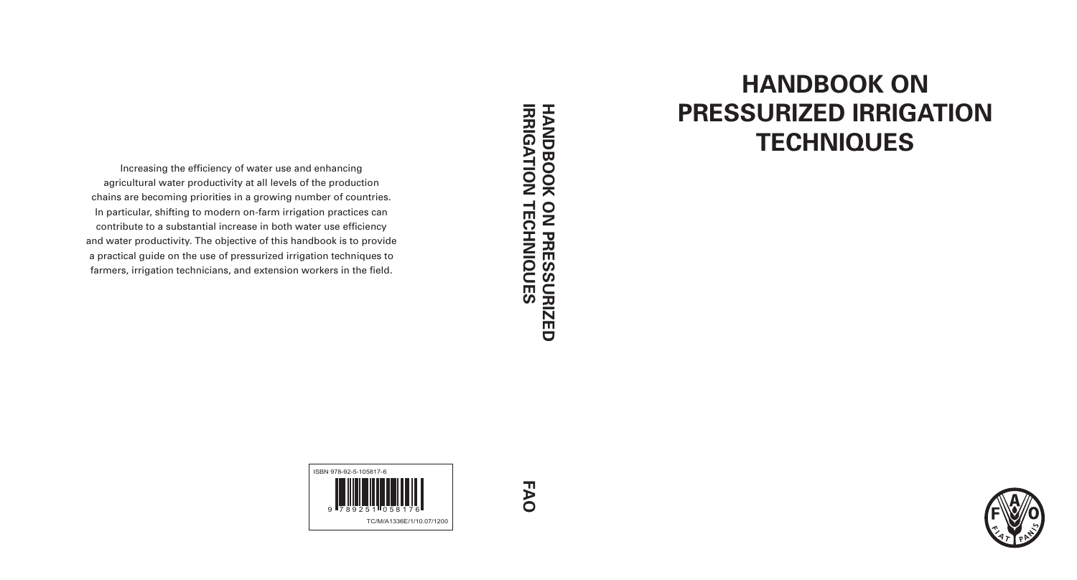# **HANDBOOK ON PRESSURIZED IRRIGATION TECHNIQUES**

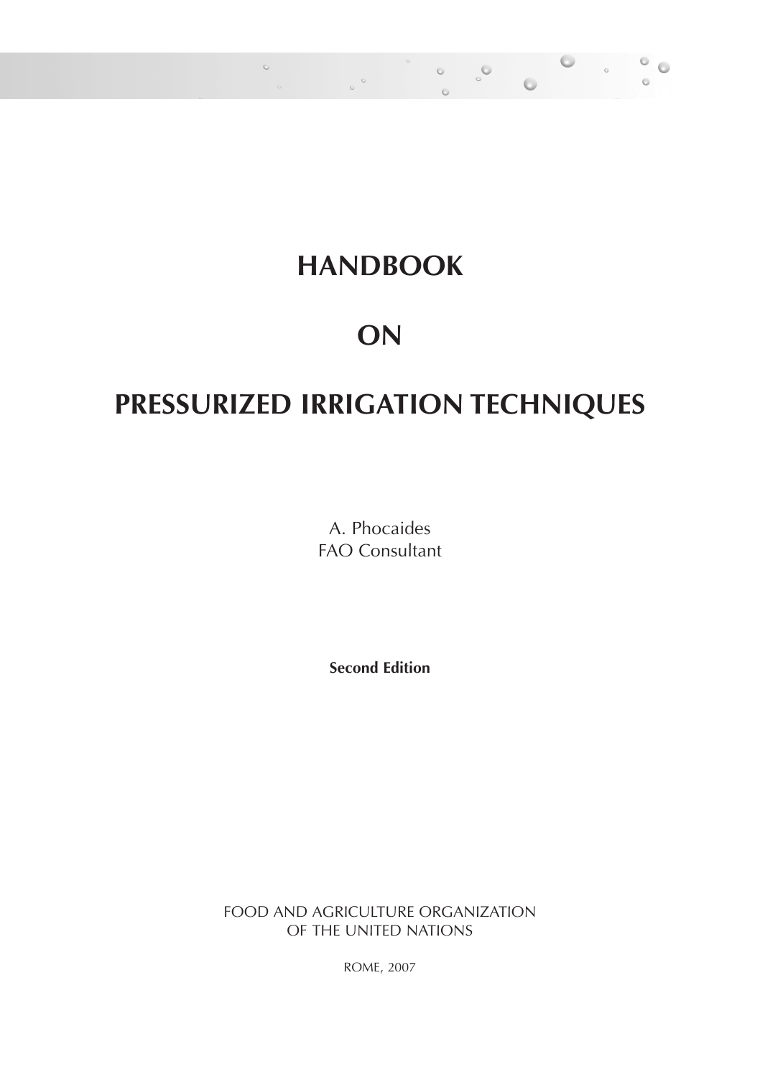#### **HANDBOOK**

 $\sim$ 

 $\circ$ 

 $\alpha$ 

 $\alpha$ 

 $\sim$ 

#### **ON**

#### **PRESSURIZED IRRIGATION TECHNIQUES**

A. Phocaides FAO Consultant

**Second Edition**

FOOD AND AGRICULTURE ORGANIZATION OF THE UNITED NATIONS

ROME, 2007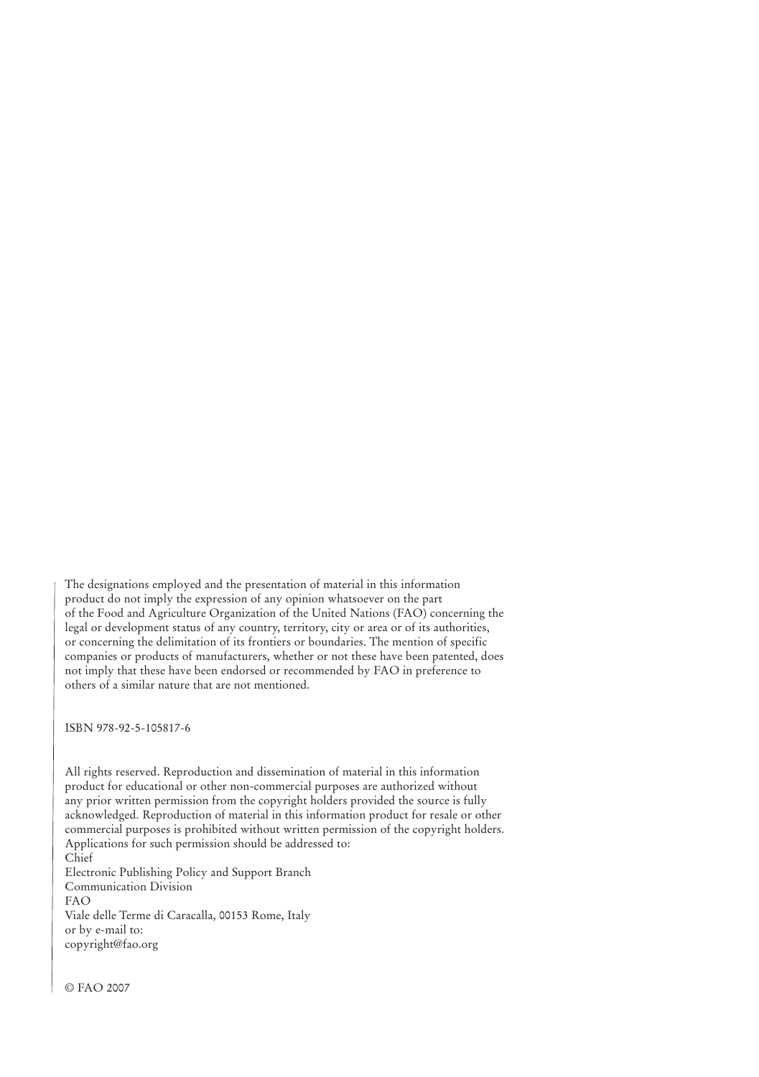The designations employed and the presentation of material in this information product do not imply the expression of any opinion whatsoever on the part of the Food and Agriculture Organization of the United Nations (FAO) concerning the legal or development status of any country, territory, city or area or of its authorities, or concerning the delimitation of its frontiers or boundaries. The mention of specific companies or products of manufacturers, whether or not these have been patented, does not imply that these have been endorsed or recommended by FAO in preference to others of a similar nature that are not mentioned.

ISBN 978-92-5-105817-6

All rights reserved. Reproduction and dissemination of material in this information product for educational or other non-commercial purposes are authorized without any prior written permission from the copyright holders provided the source is fully acknowledged. Reproduction of material in this information product for resale or other commercial purposes is prohibited without written permission of the copyright holders. Applications for such permission should be addressed to: Chief

Electronic Publishing Policy and Support Branch Communication Division FAO Viale delle Terme di Caracalla, 00153 Rome, Italy or by e-mail to: copyright@fao.org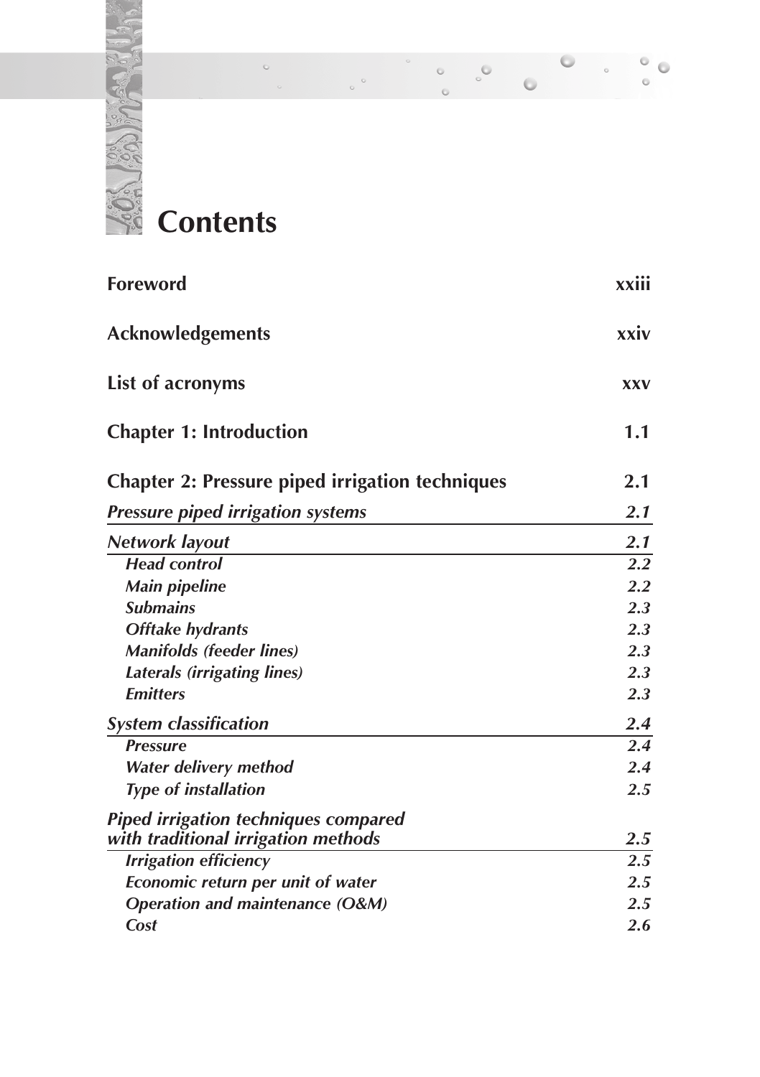

#### $\ddot{\circ}$  $\circ$  $\circ$  $\ddot{\phantom{a}}$  $\ddot{\circ}$ ò

| <b>Foreword</b>                                        | xxiii            |
|--------------------------------------------------------|------------------|
| <b>Acknowledgements</b>                                | xxiv             |
| List of acronyms                                       | <b>XXV</b>       |
| <b>Chapter 1: Introduction</b>                         | 1.1              |
| <b>Chapter 2: Pressure piped irrigation techniques</b> | 2.1              |
| <b>Pressure piped irrigation systems</b>               | 2.1              |
| Network layout                                         | 2.1              |
| <b>Head control</b>                                    | 2.2              |
| <b>Main pipeline</b>                                   | 2.2              |
| <b>Submains</b>                                        | 2.3              |
| <b>Offtake hydrants</b>                                | 2.3              |
| <b>Manifolds (feeder lines)</b>                        | 2.3              |
| <b>Laterals (irrigating lines)</b>                     | 2.3              |
| <b>Emitters</b>                                        | 2.3              |
| <b>System classification</b>                           | 2.4              |
| <b>Pressure</b>                                        | 2.4              |
| Water delivery method                                  | 2.4              |
| <b>Type of installation</b>                            | 2.5              |
| <b>Piped irrigation techniques compared</b>            |                  |
| with traditional irrigation methods                    | <b>2.5</b>       |
| <b>Irrigation efficiency</b>                           | $\overline{2.5}$ |
| Economic return per unit of water                      | 2.5              |
| <b>Operation and maintenance (O&amp;M)</b>             | 2.5              |
| Cost                                                   | 2.6              |
|                                                        |                  |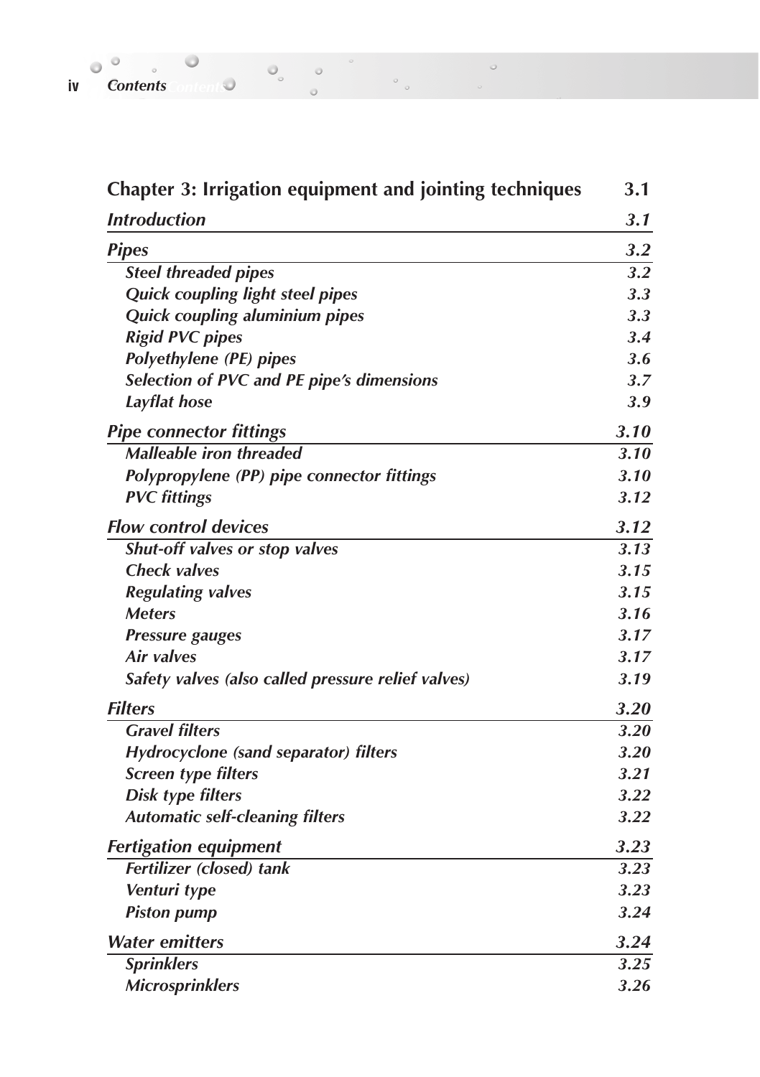| iv Contents |  |  |  |
|-------------|--|--|--|

| <b>Chapter 3: Irrigation equipment and jointing techniques</b> | 3.1    |
|----------------------------------------------------------------|--------|
| <b>Introduction</b>                                            | 3.1    |
| <b>Pipes</b>                                                   | 3.2    |
| <b>Steel threaded pipes</b>                                    | 3.2    |
| <b>Quick coupling light steel pipes</b>                        | 3.3    |
| Quick coupling aluminium pipes                                 | 3.3    |
| <b>Rigid PVC pipes</b>                                         | 3.4    |
| <b>Polyethylene (PE) pipes</b>                                 | 3.6    |
| Selection of PVC and PE pipe's dimensions                      | 3.7    |
| Layflat hose                                                   | 3.9    |
| <b>Pipe connector fittings</b>                                 | 3.10   |
| <b>Malleable iron threaded</b>                                 | $3.10$ |
| Polypropylene (PP) pipe connector fittings                     | $3.10$ |
| <b>PVC</b> fittings                                            | 3.12   |
| <b>Flow control devices</b>                                    | 3.12   |
| Shut-off valves or stop valves                                 | 3.13   |
| <b>Check valves</b>                                            | 3.15   |
| <b>Regulating valves</b>                                       | 3.15   |
| <b>Meters</b>                                                  | 3.16   |
| <b>Pressure gauges</b>                                         | 3.17   |
| Air valves                                                     | 3.17   |
| Safety valves (also called pressure relief valves)             | 3.19   |
| <b>Filters</b>                                                 | 3.20   |
| <b>Gravel filters</b>                                          | 3.20   |
| Hydrocyclone (sand separator) filters                          | 3.20   |
| <b>Screen type filters</b>                                     | 3.21   |
| <b>Disk type filters</b>                                       | 3.22   |
| <b>Automatic self-cleaning filters</b>                         | 3.22   |
| <b>Fertigation equipment</b>                                   | 3.23   |
| <b>Fertilizer</b> (closed) tank                                | 3.23   |
| Venturi type                                                   | 3.23   |
| <b>Piston pump</b>                                             | 3.24   |
| <b>Water emitters</b>                                          | 3.24   |
| <b>Sprinklers</b>                                              | 3.25   |
| <b>Microsprinklers</b>                                         | 3.26   |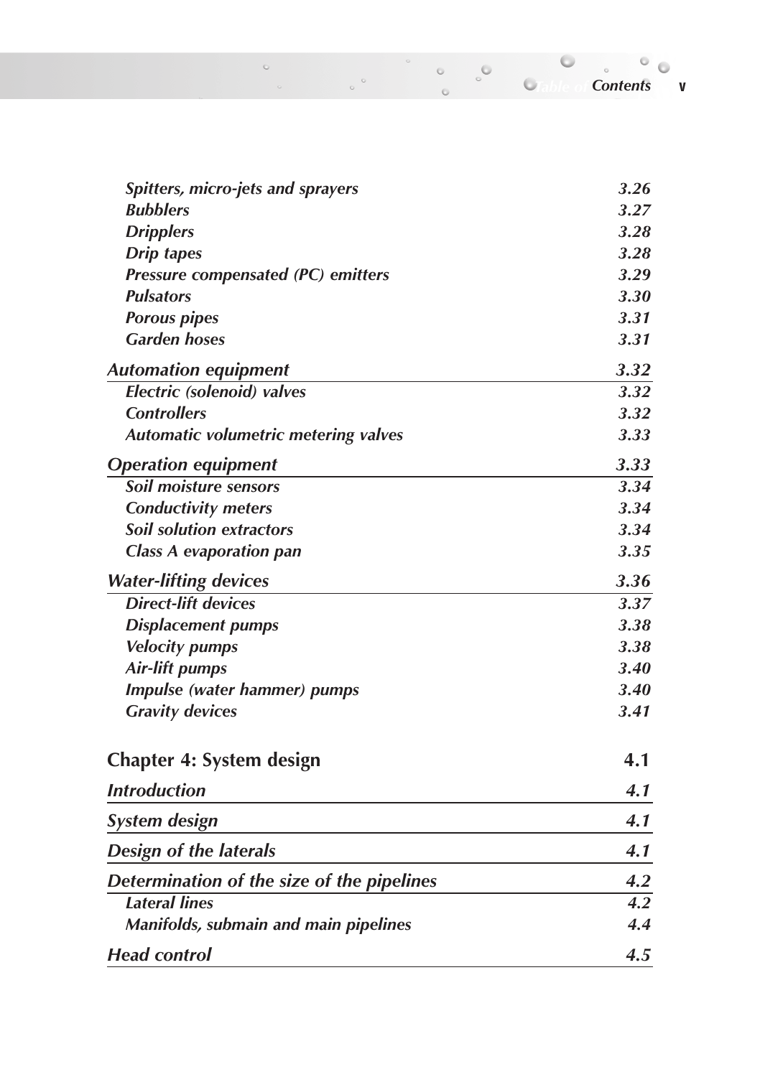*Table of Contents Contents* **v**

| Spitters, micro-jets and sprayers           | 3.26 |
|---------------------------------------------|------|
| <b>Bubblers</b>                             | 3.27 |
| <b>Dripplers</b>                            | 3.28 |
| <b>Drip tapes</b>                           | 3.28 |
| Pressure compensated (PC) emitters          | 3.29 |
| <b>Pulsators</b>                            | 3.30 |
| <b>Porous pipes</b>                         | 3.31 |
| <b>Garden hoses</b>                         | 3.31 |
| <b>Automation equipment</b>                 | 3.32 |
| <b>Electric</b> (solenoid) valves           | 3.32 |
| <b>Controllers</b>                          | 3.32 |
| <b>Automatic volumetric metering valves</b> | 3.33 |
| <b>Operation equipment</b>                  | 3.33 |
| <b>Soil moisture sensors</b>                | 3.34 |
| <b>Conductivity meters</b>                  | 3.34 |
| <b>Soil solution extractors</b>             | 3.34 |
| <b>Class A evaporation pan</b>              | 3.35 |
| <b>Water-lifting devices</b>                | 3.36 |
| <b>Direct-lift devices</b>                  | 3.37 |
| <b>Displacement pumps</b>                   | 3.38 |
| <b>Velocity pumps</b>                       | 3.38 |
| <b>Air-lift pumps</b>                       | 3.40 |
| Impulse (water hammer) pumps                | 3.40 |
| <b>Gravity devices</b>                      | 3.41 |
| Chapter 4: System design                    | 4.1  |
| <b>Introduction</b>                         | 4.1  |
| <b>System design</b>                        | 4.1  |
| <b>Design of the laterals</b>               | 4.1  |
| Determination of the size of the pipelines  | 4.2  |
| <b>Lateral lines</b>                        | 4.2  |
| Manifolds, submain and main pipelines       | 4.4  |
| <b>Head control</b>                         | 4.5  |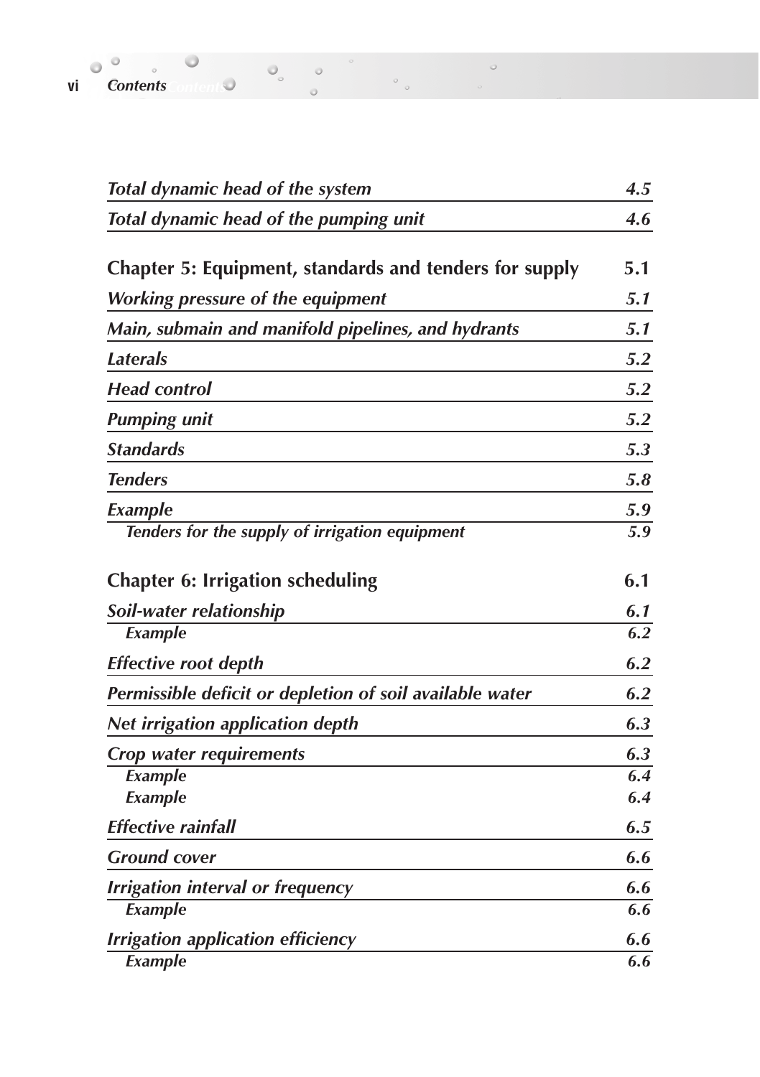| Total dynamic head of the system                         | 4.5 |
|----------------------------------------------------------|-----|
| Total dynamic head of the pumping unit                   | 4.6 |
| Chapter 5: Equipment, standards and tenders for supply   | 5.1 |
| <b>Working pressure of the equipment</b>                 | 5.1 |
| Main, submain and manifold pipelines, and hydrants       | 5.1 |
| <b>Laterals</b>                                          | 5.2 |
| <b>Head control</b>                                      | 5.2 |
| <b>Pumping unit</b>                                      | 5.2 |
| <b>Standards</b>                                         | 5.3 |
| <b>Tenders</b>                                           | 5.8 |
| Example                                                  | 5.9 |
| Tenders for the supply of irrigation equipment           | 5.9 |
| <b>Chapter 6: Irrigation scheduling</b>                  | 6.1 |
| Soil-water relationship                                  | 6.1 |
| Example                                                  | 6.2 |
| <b>Effective root depth</b>                              | 6.2 |
| Permissible deficit or depletion of soil available water | 6.2 |
| <b>Net irrigation application depth</b>                  | 6.3 |
| Crop water requirements                                  | 6.3 |
| Example                                                  | 6.4 |
| Example                                                  | 6.4 |
| <b>Effective rainfall</b>                                | 6.5 |
| <b>Ground cover</b>                                      | 6.6 |
| <b>Irrigation interval or frequency</b>                  | 6.6 |
| Example                                                  | 6.6 |
| <b>Irrigation application efficiency</b>                 | 6.6 |
| Example                                                  | 6.6 |

 $\circ$ 

**vi Contents** *Contents Contents Contents Contents Contents Contents Contents Contents Contents Contents Contents Contents Contents Contents Contents Contents*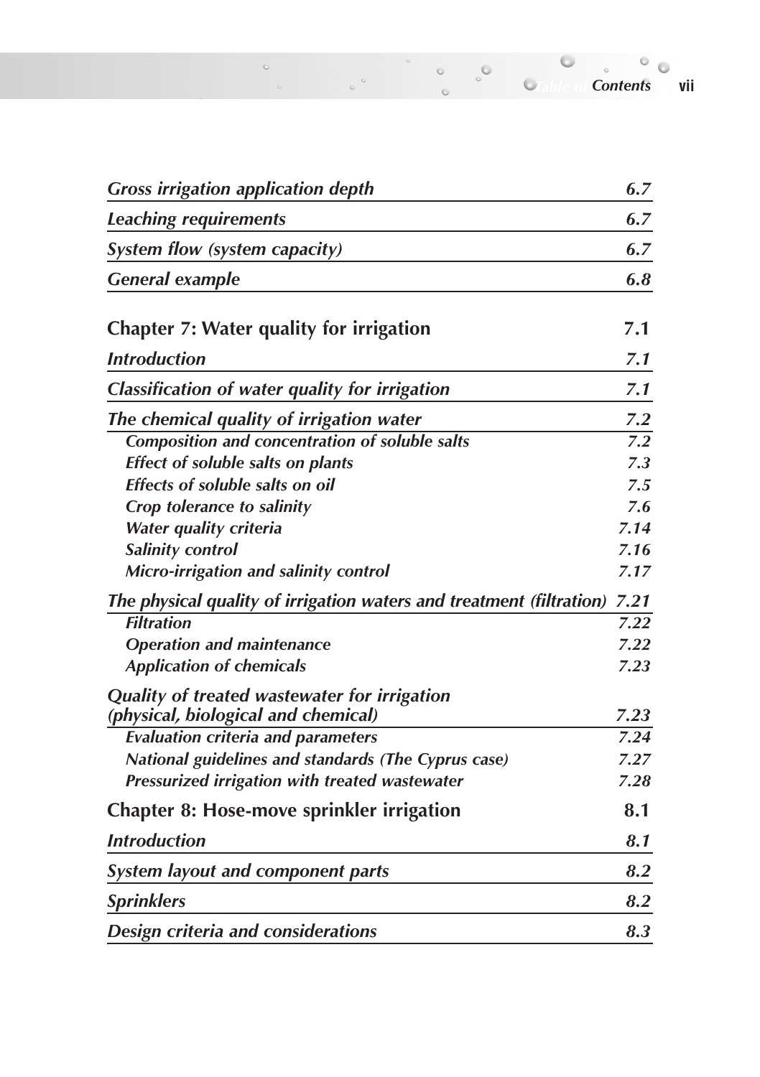| <b>Gross irrigation application depth</b>      | 6.7 |
|------------------------------------------------|-----|
| <b>Leaching requirements</b>                   | 6.7 |
| System flow (system capacity)                  | 6.7 |
| <b>General example</b>                         | 6.8 |
| Chapter 7: Water quality for irrigation        | 7.1 |
| <b>Introduction</b>                            | 7.1 |
| Classification of water quality for irrigation | 7.1 |
| The chemical quality of irrigation water       | 7.2 |
| Composition and concentration of soluble salts | 79  |

 $_{\rm o}$  $\circ$ 

| <i>muvaacuon</i>                                                     | $\sqrt{1}$ |
|----------------------------------------------------------------------|------------|
| <b>Classification of water quality for irrigation</b>                | 7.1        |
| The chemical quality of irrigation water                             | 7.2        |
| Composition and concentration of soluble salts                       | 7.2        |
| Effect of soluble salts on plants                                    | 7.3        |
| Effects of soluble salts on oil                                      | 7.5        |
| Crop tolerance to salinity                                           | 7.6        |
| Water quality criteria                                               | 7.14       |
| Salinity control                                                     | 7.16       |
| Micro-irrigation and salinity control                                | 7.17       |
| The physical quality of irrigation waters and treatment (filtration) | 7.21       |
| <b>Filtration</b>                                                    | 7.22       |
| <b>Operation and maintenance</b>                                     | 7.22       |
| <b>Application of chemicals</b>                                      | 7.23       |
| Quality of treated wastewater for irrigation                         |            |
| (physical, biological and chemical)                                  | 7.23       |
| <b>Evaluation criteria and parameters</b>                            | 7.24       |
| National guidelines and standards (The Cyprus case)                  | 7.27       |
| Pressurized irrigation with treated wastewater                       | 7.28       |
| <b>Chapter 8: Hose-move sprinkler irrigation</b>                     | 8.1        |
| <b>Introduction</b>                                                  | 8.1        |
| <b>System layout and component parts</b>                             | 8.2        |
| <b>Sprinklers</b>                                                    | 8.2        |
| Design criteria and considerations                                   | 8.3        |

 $\sim$ 

*Table of Contents Contents* **vii**

 $^{\circ}$  o

 $\overline{\phantom{a}}$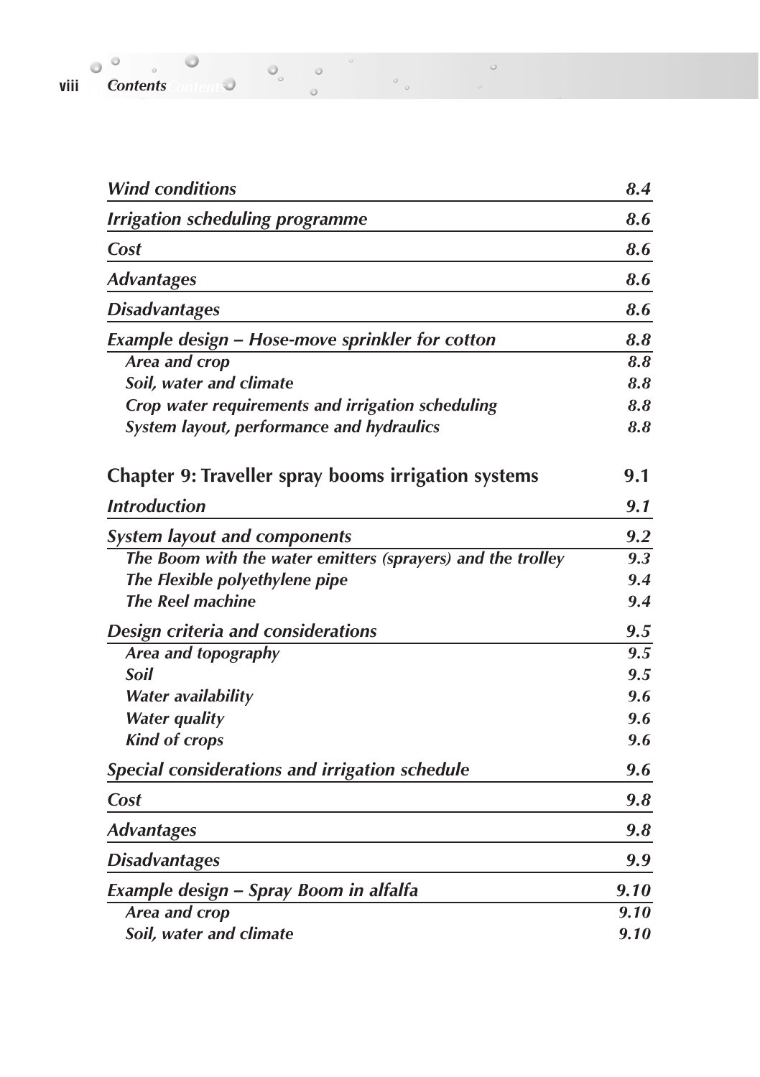**viii Contents** *Contents Contents Contents Contents Contents Contents Contents Contents Contents Contents Contents Contents Contents Contents Contents Content* 

| <b>Wind conditions</b>                                      | 8.4              |
|-------------------------------------------------------------|------------------|
| <b>Irrigation scheduling programme</b>                      | 8.6              |
| Cost                                                        | 8.6              |
| <b>Advantages</b>                                           | 8.6              |
| <b>Disadvantages</b>                                        | 8.6              |
| <b>Example design - Hose-move sprinkler for cotton</b>      | 8.8              |
| Area and crop                                               | 8.8              |
| Soil, water and climate                                     | 8.8              |
| Crop water requirements and irrigation scheduling           | 8.8              |
| System layout, performance and hydraulics                   | 8.8              |
| <b>Chapter 9: Traveller spray booms irrigation systems</b>  | 9.1              |
| <b>Introduction</b>                                         | 9.1              |
| <b>System layout and components</b>                         | 9.2              |
| The Boom with the water emitters (sprayers) and the trolley | $\overline{9.3}$ |
| The Flexible polyethylene pipe                              | 9.4              |
| <b>The Reel machine</b>                                     | 9.4              |
| Design criteria and considerations                          | 9.5              |
| Area and topography                                         | 9.5              |
| Soil                                                        | 9.5              |
| <b>Water availability</b>                                   | 9.6              |
| <b>Water quality</b>                                        | 9.6              |
| <b>Kind of crops</b>                                        | 9.6              |
| Special considerations and irrigation schedule              | 9.6              |
| Cost                                                        | 9.8              |
| <b>Advantages</b>                                           | 9.8              |
| <b>Disadvantages</b>                                        | 9.9              |
| Example design - Spray Boom in alfalfa                      | 9.10             |
| Area and crop                                               | 9.10             |
| Soil, water and climate                                     | 9.10             |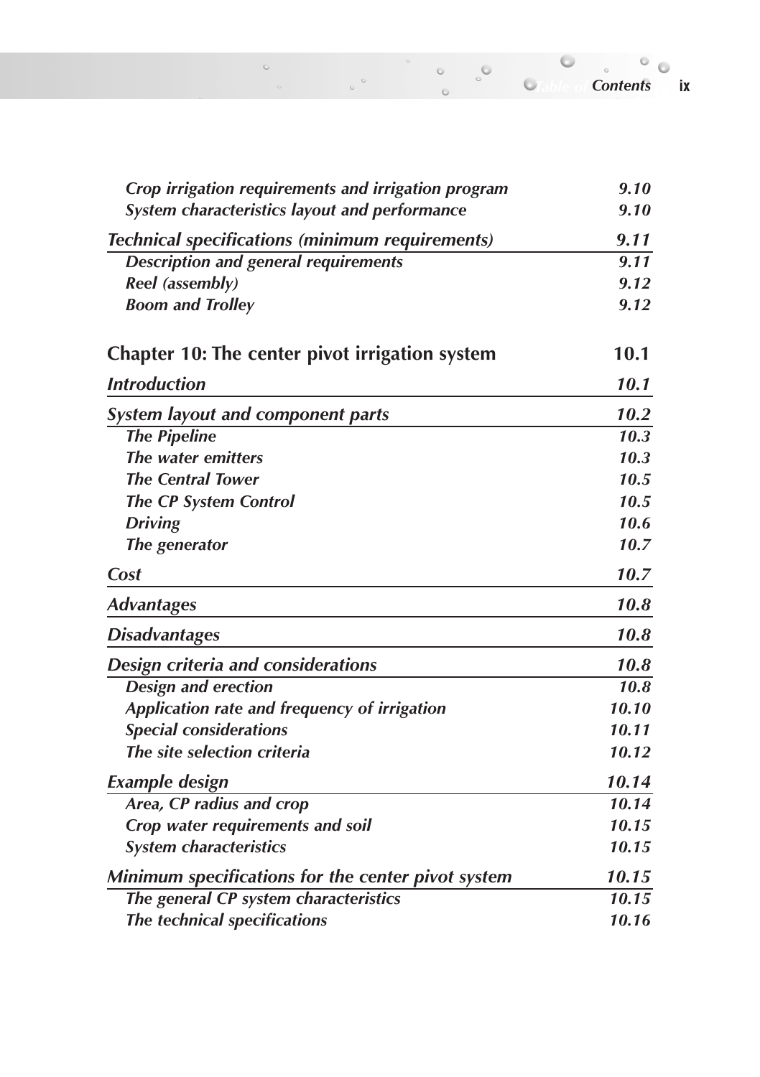| Crop irrigation requirements and irrigation program    | 9.10  |
|--------------------------------------------------------|-------|
| System characteristics layout and performance          | 9.10  |
| <b>Technical specifications (minimum requirements)</b> | 9.11  |
| <b>Description and general requirements</b>            | 9.11  |
| Reel (assembly)                                        | 9.12  |
| <b>Boom and Trolley</b>                                | 9.12  |
| Chapter 10: The center pivot irrigation system         | 10.1  |
| <b>Introduction</b>                                    | 10.1  |
| <b>System layout and component parts</b>               | 10.2  |
| <b>The Pipeline</b>                                    | 10.3  |
| The water emitters                                     | 10.3  |
| <b>The Central Tower</b>                               | 10.5  |
| <b>The CP System Control</b>                           | 10.5  |
| <b>Driving</b>                                         | 10.6  |
| The generator                                          | 10.7  |
| Cost                                                   | 10.7  |
| <b>Advantages</b>                                      | 10.8  |
| <b>Disadvantages</b>                                   | 10.8  |
| Design criteria and considerations                     | 10.8  |
| <b>Design and erection</b>                             | 10.8  |
| Application rate and frequency of irrigation           | 10.10 |
| <b>Special considerations</b>                          | 10.11 |
| The site selection criteria                            | 10.12 |
| <b>Example design</b>                                  | 10.14 |
| Area, CP radius and crop                               | 10.14 |
| Crop water requirements and soil                       | 10.15 |
| <b>System characteristics</b>                          | 10.15 |
| Minimum specifications for the center pivot system     | 10.15 |
| The general CP system characteristics                  | 10.15 |
| The technical specifications                           | 10.16 |

*Table of Contents Contents* **ix**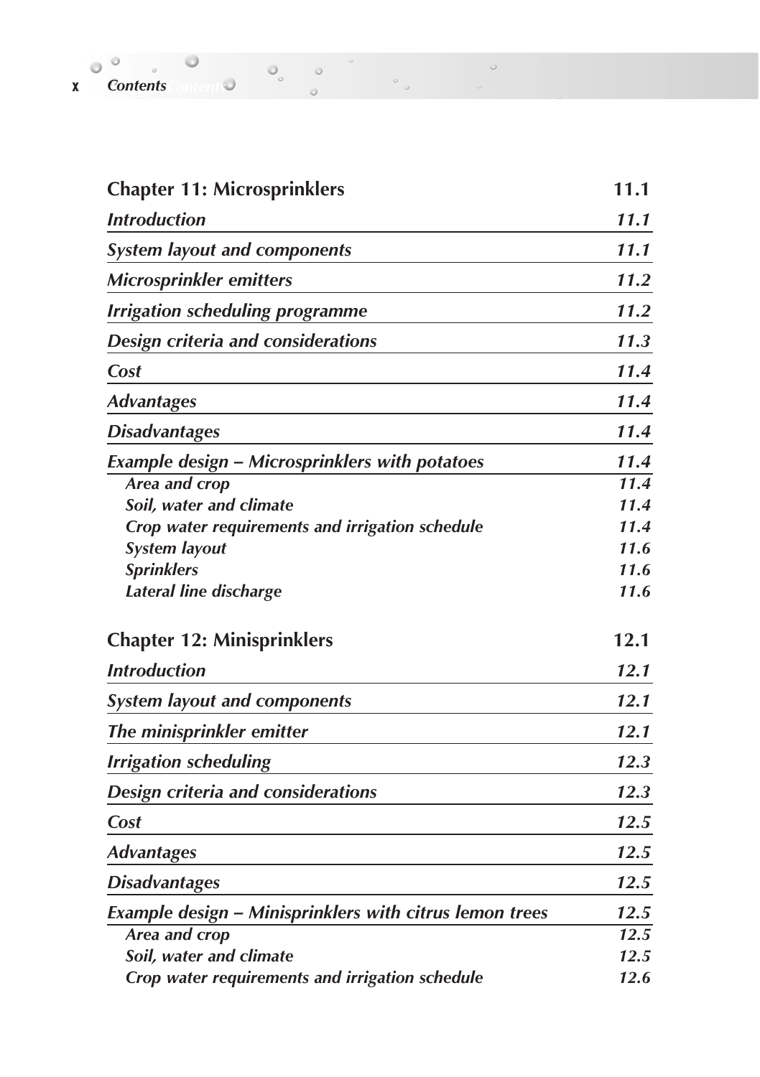| X | <b>Contents</b> |  |  |  |
|---|-----------------|--|--|--|

| <b>Chapter 11: Microsprinklers</b>                             | 11.1 |
|----------------------------------------------------------------|------|
| <b>Introduction</b>                                            | 11.1 |
| <b>System layout and components</b>                            | 11.1 |
| Microsprinkler emitters                                        | 11.2 |
| <b>Irrigation scheduling programme</b>                         | 11.2 |
| Design criteria and considerations                             | 11.3 |
| Cost                                                           | 11.4 |
| <b>Advantages</b>                                              | 11.4 |
| <b>Disadvantages</b>                                           | 11.4 |
| <b>Example design - Microsprinklers with potatoes</b>          | 11.4 |
| Area and crop                                                  | 11.4 |
| Soil, water and climate                                        | 11.4 |
| Crop water requirements and irrigation schedule                | 11.4 |
| <b>System layout</b>                                           | 11.6 |
| <b>Sprinklers</b>                                              | 11.6 |
| <b>Lateral line discharge</b>                                  | 11.6 |
| <b>Chapter 12: Minisprinklers</b>                              | 12.1 |
| <b>Introduction</b>                                            | 12.1 |
| <b>System layout and components</b>                            | 12.1 |
| The minisprinkler emitter                                      | 12.1 |
| <b>Irrigation scheduling</b>                                   | 12.3 |
| Design criteria and considerations                             | 12.3 |
| Cost                                                           | 12.5 |
| <b>Advantages</b>                                              | 12.5 |
| <b>Disadvantages</b>                                           | 12.5 |
| <b>Example design - Minisprinklers with citrus lemon trees</b> | 12.5 |
| Area and crop                                                  | 12.5 |
| Soil, water and climate                                        | 12.5 |
| Crop water requirements and irrigation schedule                | 12.6 |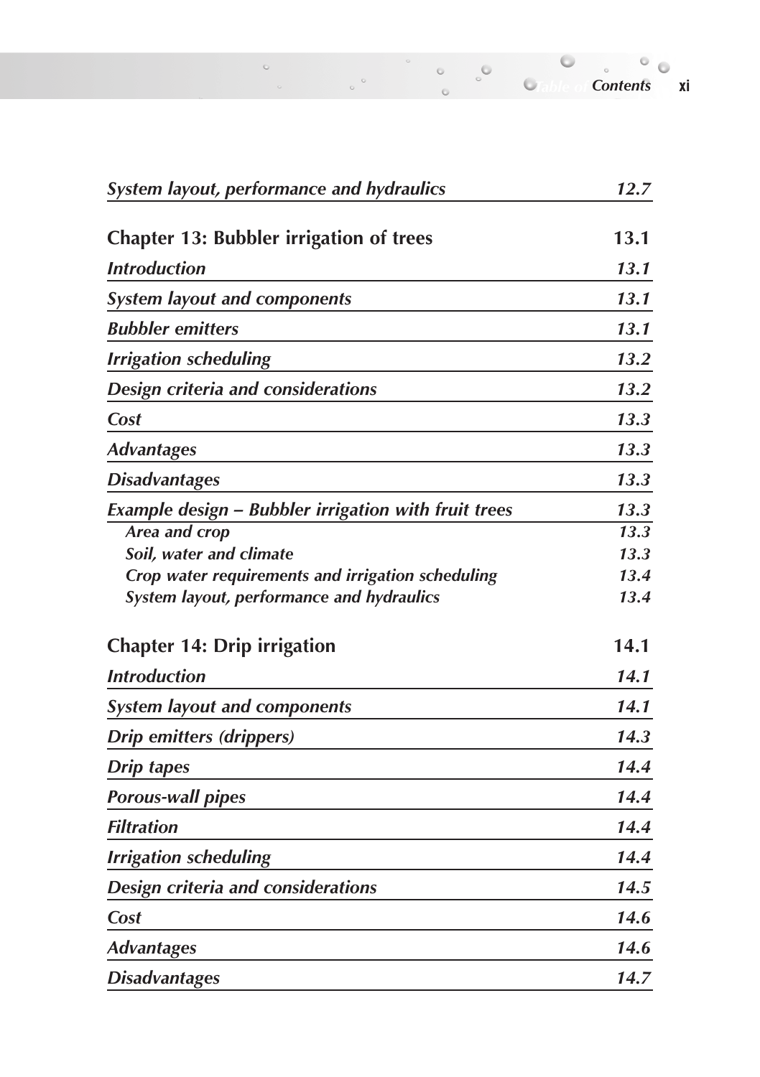| <b>System layout, performance and hydraulics</b>     | 12.7 |  |
|------------------------------------------------------|------|--|
| <b>Chapter 13: Bubbler irrigation of trees</b>       | 13.1 |  |
| <b>Introduction</b>                                  | 13.1 |  |
| <b>System layout and components</b>                  | 13.1 |  |
| <b>Bubbler</b> emitters                              | 13.1 |  |
| <b>Irrigation scheduling</b>                         | 13.2 |  |
| Design criteria and considerations                   | 13.2 |  |
| Cost                                                 | 13.3 |  |
| <b>Advantages</b>                                    | 13.3 |  |
| <b>Disadvantages</b>                                 | 13.3 |  |
| Example design - Bubbler irrigation with fruit trees | 13.3 |  |
| Area and crop                                        | 13.3 |  |
| Soil, water and climate                              | 13.3 |  |
| Crop water requirements and irrigation scheduling    | 13.4 |  |
| System layout, performance and hydraulics            | 13.4 |  |
| <b>Chapter 14: Drip irrigation</b>                   | 14.1 |  |
| <b>Introduction</b>                                  | 14.1 |  |
| <b>System layout and components</b>                  | 14.1 |  |
| <b>Drip emitters (drippers)</b>                      | 14.3 |  |
| <b>Drip tapes</b>                                    | 14.4 |  |
| <b>Porous-wall pipes</b>                             | 14.4 |  |
| <b>Filtration</b>                                    | 14.4 |  |
| <b>Irrigation scheduling</b>                         | 14.4 |  |
| Design criteria and considerations                   | 14.5 |  |
| Cost                                                 | 14.6 |  |
| <b>Advantages</b>                                    | 14.6 |  |
| <b>Disadvantages</b>                                 | 14.7 |  |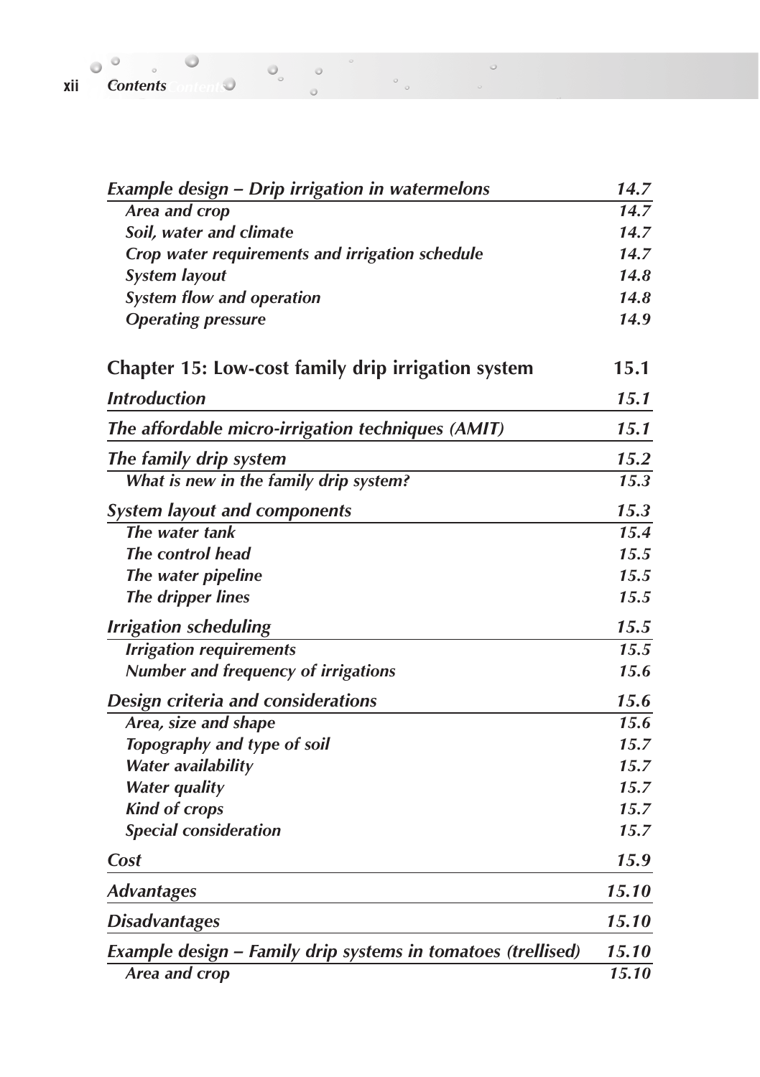| <b>Example design - Drip irrigation in watermelons</b>       | 14.7  |
|--------------------------------------------------------------|-------|
| <b>Area and crop</b>                                         | 14.7  |
| Soil, water and climate                                      | 14.7  |
| Crop water requirements and irrigation schedule              | 14.7  |
| <b>System layout</b>                                         | 14.8  |
| <b>System flow and operation</b>                             | 14.8  |
| <b>Operating pressure</b>                                    | 14.9  |
| Chapter 15: Low-cost family drip irrigation system           | 15.1  |
| <b>Introduction</b>                                          | 15.1  |
| The affordable micro-irrigation techniques (AMIT)            | 15.1  |
| The family drip system                                       | 15.2  |
| What is new in the family drip system?                       | 15.3  |
| <b>System layout and components</b>                          | 15.3  |
| The water tank                                               | 15.4  |
| The control head                                             | 15.5  |
| The water pipeline                                           | 15.5  |
| <b>The dripper lines</b>                                     | 15.5  |
| <b>Irrigation scheduling</b>                                 | 15.5  |
| <b>Irrigation requirements</b>                               | 15.5  |
| Number and frequency of irrigations                          | 15.6  |
| <b>Design criteria and considerations</b>                    | 15.6  |
| Area, size and shape                                         | 15.6  |
| Topography and type of soil                                  | 15.7  |
| Water availability                                           | 15.7  |
| <b>Water quality</b>                                         | 15.7  |
| <b>Kind of crops</b>                                         | 15.7  |
| <b>Special consideration</b>                                 | 15.7  |
| Cost                                                         | 15.9  |
| <b>Advantages</b>                                            | 15.10 |
| <b>Disadvantages</b>                                         | 15.10 |
| Example design - Family drip systems in tomatoes (trellised) | 15.10 |
| Area and crop                                                | 15.10 |

 $\circ$ 

**xii** *Contents* **Contents** *Contents Contents Contents Contents Contents Contents Contents Contents Contents Contents Contents Contents Contents Contents Contents*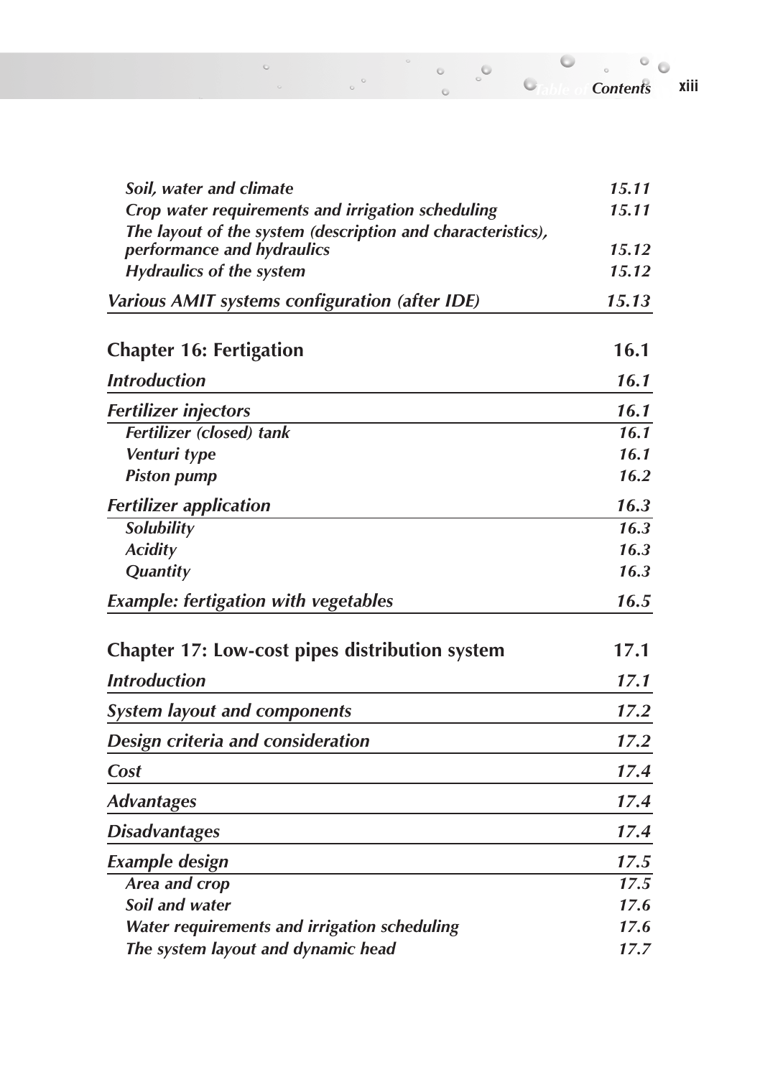*Soil, water and climate* 15.11 *Crop water requirements and irrigation scheduling 15.11 The layout of the system (description and characteristics), performance and hydraulics 15.12 Hydraulics of the system 15.12 Various AMIT systems configuration (after IDE) 15.13* **Chapter 16: Fertigation 16.1** *Introduction 16.1 Fertilizer injectors 16.1 Fertilizer (closed) tank Venturi type 16.1 Piston pump 16.2 Fertilizer application 16.3 Solubility 16.3 Acidity 16.3 Quantity 16.3 Example: fertigation with vegetables 16.5* **Chapter 17: Low-cost pipes distribution system 17.1** *Introduction 17.1 System layout and components 17.2 Design criteria and consideration 17.2 Cost 17.4 Advantages 17.4 Disadvantages 17.4 Example design 17.5 Area and crop 17.5 Soil and water 17.6*

*Water requirements and irrigation scheduling 17.6 The system layout and dynamic head 17.7*

*Table of Contents Contents***xiii**

 $\circ$ 

 $\sim$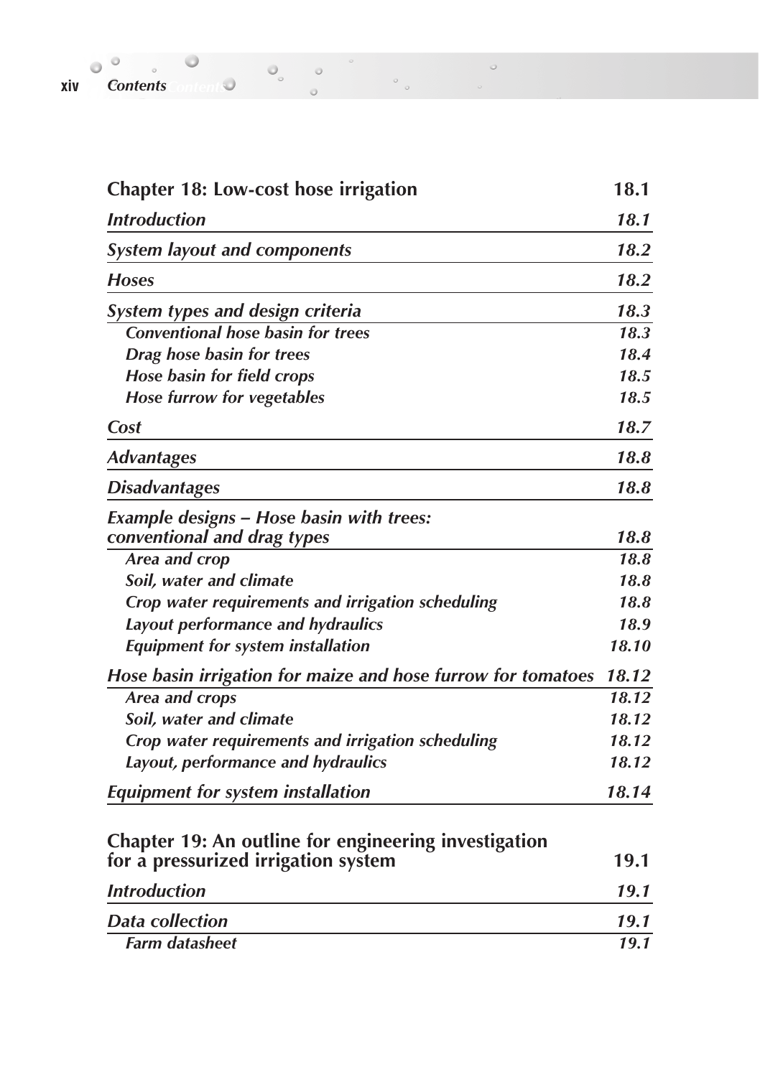| xiv | <b>Contents</b> |  |  |  |
|-----|-----------------|--|--|--|

| <b>Chapter 18: Low-cost hose irrigation</b>                  | 18.1  |
|--------------------------------------------------------------|-------|
| <b>Introduction</b>                                          | 18.1  |
| <b>System layout and components</b>                          | 18.2  |
| <b>Hoses</b>                                                 | 18.2  |
| <b>System types and design criteria</b>                      | 18.3  |
| <b>Conventional hose basin for trees</b>                     | 18.3  |
| Drag hose basin for trees                                    | 18.4  |
| <b>Hose basin for field crops</b>                            | 18.5  |
| Hose furrow for vegetables                                   | 18.5  |
| Cost                                                         | 18.7  |
| <b>Advantages</b>                                            | 18.8  |
| <b>Disadvantages</b>                                         | 18.8  |
| <b>Example designs - Hose basin with trees:</b>              |       |
| conventional and drag types                                  | 18.8  |
| Area and crop                                                | 18.8  |
| Soil, water and climate                                      | 18.8  |
| Crop water requirements and irrigation scheduling            | 18.8  |
| Layout performance and hydraulics                            | 18.9  |
| <b>Equipment for system installation</b>                     | 18.10 |
| Hose basin irrigation for maize and hose furrow for tomatoes | 18.12 |
| Area and crops                                               | 18.12 |
| Soil, water and climate                                      | 18.12 |
| Crop water requirements and irrigation scheduling            | 18.12 |
| Layout, performance and hydraulics                           | 18.12 |
| <b>Equipment for system installation</b>                     | 18.14 |
| <b>Chapter 19: An outline for engineering investigation</b>  |       |
| for a pressurized irrigation system                          | 19.1  |
| <b>Introduction</b>                                          | 19.1  |
| <b>Data collection</b>                                       | 19.1  |
| <b>Farm datasheet</b>                                        | 19.1  |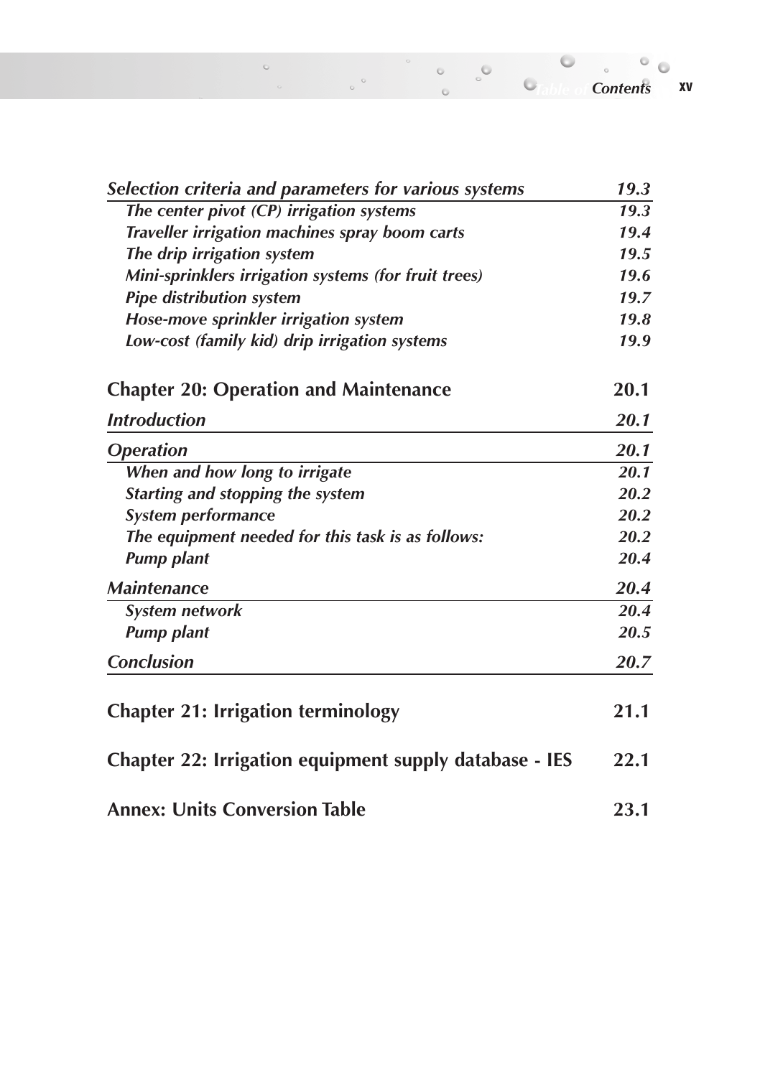| Selection criteria and parameters for various systems  | 19.3              |
|--------------------------------------------------------|-------------------|
| The center pivot (CP) irrigation systems               | $\overline{19.3}$ |
| Traveller irrigation machines spray boom carts         | 19.4              |
| The drip irrigation system                             | 19.5              |
| Mini-sprinklers irrigation systems (for fruit trees)   | 19.6              |
| <b>Pipe distribution system</b>                        | 19.7              |
| Hose-move sprinkler irrigation system                  | 19.8              |
| Low-cost (family kid) drip irrigation systems          | 19.9              |
| <b>Chapter 20: Operation and Maintenance</b>           | 20.1              |
| <b>Introduction</b>                                    | 20.1              |
| <b>Operation</b>                                       | 20.1              |
| When and how long to irrigate                          | 20.1              |
| <b>Starting and stopping the system</b>                | 20.2              |
| System performance                                     | 20.2              |
| The equipment needed for this task is as follows:      | 20.2              |
| <b>Pump plant</b>                                      | 20.4              |
| <b>Maintenance</b>                                     | 20.4              |
| <b>System network</b>                                  | 20.4              |
| <b>Pump plant</b>                                      | 20.5              |
| <b>Conclusion</b>                                      | 20.7              |
| <b>Chapter 21: Irrigation terminology</b>              | 21.1              |
| Chapter 22: Irrigation equipment supply database - IES | 22.1              |
| <b>Annex: Units Conversion Table</b>                   | 23.1              |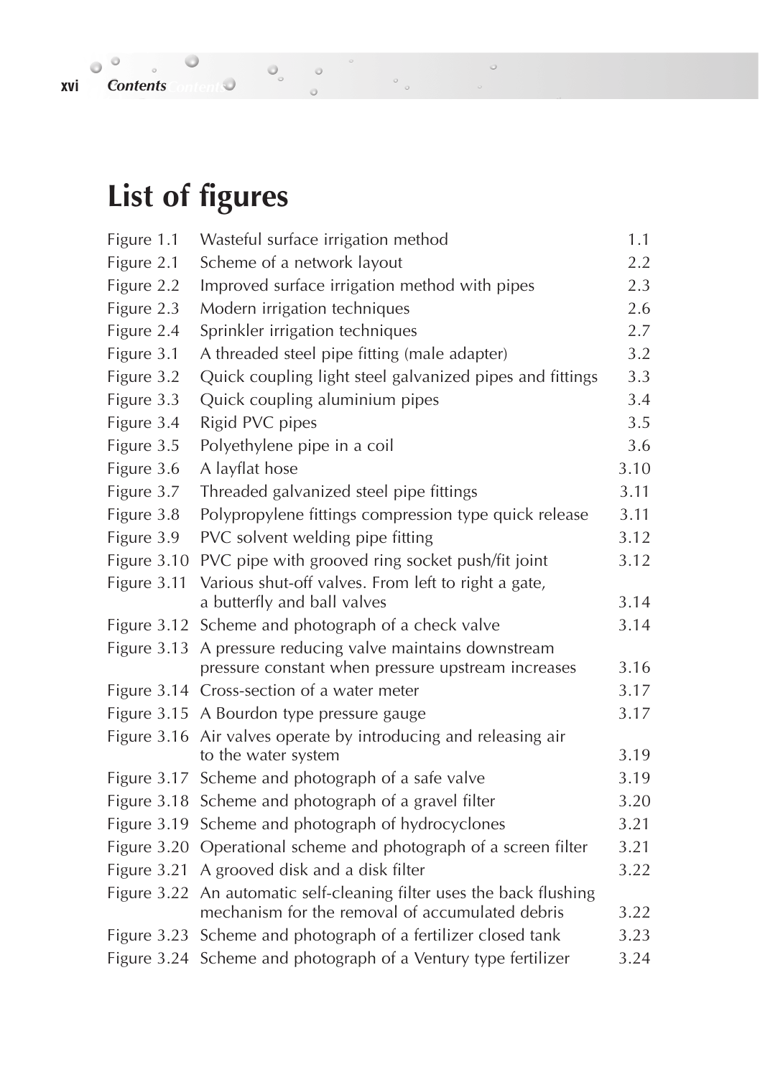# **xvi** *Contents Contents Contents Contents Contents Contents Contents Contents Contents Contents Contents Contents Contents Contents Contents Contents Conten*

# **List of figures**

| Figure 1.1  | Wasteful surface irrigation method                                         | 1.1  |
|-------------|----------------------------------------------------------------------------|------|
| Figure 2.1  | Scheme of a network layout                                                 | 2.2  |
| Figure 2.2  | Improved surface irrigation method with pipes                              | 2.3  |
| Figure 2.3  | Modern irrigation techniques                                               | 2.6  |
| Figure 2.4  | Sprinkler irrigation techniques                                            | 2.7  |
| Figure 3.1  | A threaded steel pipe fitting (male adapter)                               | 3.2  |
| Figure 3.2  | Quick coupling light steel galvanized pipes and fittings                   | 3.3  |
| Figure 3.3  | Quick coupling aluminium pipes                                             | 3.4  |
| Figure 3.4  | Rigid PVC pipes                                                            | 3.5  |
| Figure 3.5  | Polyethylene pipe in a coil                                                | 3.6  |
| Figure 3.6  | A layflat hose                                                             | 3.10 |
| Figure 3.7  | Threaded galvanized steel pipe fittings                                    | 3.11 |
| Figure 3.8  | Polypropylene fittings compression type quick release                      | 3.11 |
| Figure 3.9  | PVC solvent welding pipe fitting                                           | 3.12 |
| Figure 3.10 | PVC pipe with grooved ring socket push/fit joint                           | 3.12 |
| Figure 3.11 | Various shut-off valves. From left to right a gate,                        |      |
|             | a butterfly and ball valves                                                | 3.14 |
|             | Figure 3.12 Scheme and photograph of a check valve                         | 3.14 |
| Figure 3.13 | A pressure reducing valve maintains downstream                             |      |
|             | pressure constant when pressure upstream increases                         | 3.16 |
|             | Figure 3.14 Cross-section of a water meter                                 | 3.17 |
| Figure 3.15 | A Bourdon type pressure gauge                                              | 3.17 |
| Figure 3.16 | Air valves operate by introducing and releasing air<br>to the water system | 3.19 |
| Figure 3.17 | Scheme and photograph of a safe valve                                      | 3.19 |
| Figure 3.18 | Scheme and photograph of a gravel filter                                   | 3.20 |
| Figure 3.19 | Scheme and photograph of hydrocyclones                                     | 3.21 |
| Figure 3.20 | Operational scheme and photograph of a screen filter                       | 3.21 |
| Figure 3.21 | A grooved disk and a disk filter                                           | 3.22 |
| Figure 3.22 | An automatic self-cleaning filter uses the back flushing                   |      |
|             | mechanism for the removal of accumulated debris                            | 3.22 |
|             | Figure 3.23 Scheme and photograph of a fertilizer closed tank              | 3.23 |
| Figure 3.24 | Scheme and photograph of a Ventury type fertilizer                         | 3.24 |

 $\circ$ 

 $\circ$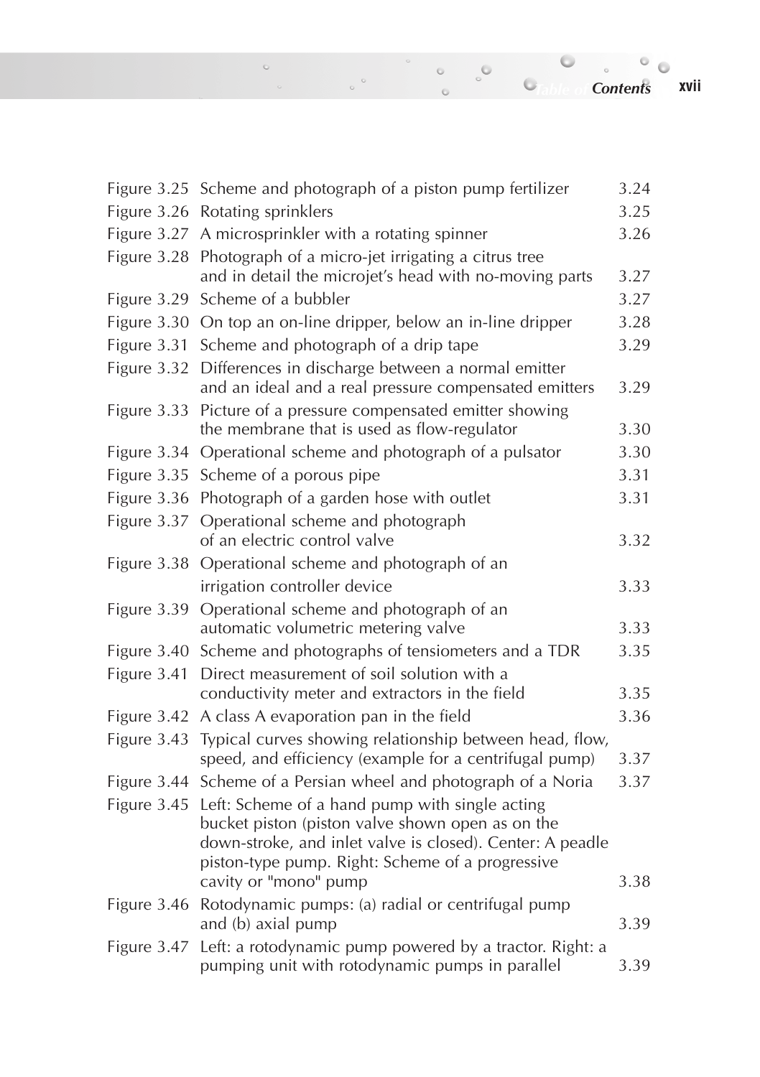*Table of Contents Contents***xvii**

|             | Figure 3.25 Scheme and photograph of a piston pump fertilizer                                                          | 3.24 |
|-------------|------------------------------------------------------------------------------------------------------------------------|------|
|             | Figure 3.26 Rotating sprinklers                                                                                        | 3.25 |
|             |                                                                                                                        | 3.26 |
|             | Figure 3.27 A microsprinkler with a rotating spinner                                                                   |      |
| Figure 3.28 | Photograph of a micro-jet irrigating a citrus tree<br>and in detail the microjet's head with no-moving parts           | 3.27 |
|             |                                                                                                                        |      |
|             | Figure 3.29 Scheme of a bubbler                                                                                        | 3.27 |
|             | Figure 3.30 On top an on-line dripper, below an in-line dripper                                                        | 3.28 |
|             | Figure 3.31 Scheme and photograph of a drip tape                                                                       | 3.29 |
|             | Figure 3.32 Differences in discharge between a normal emitter<br>and an ideal and a real pressure compensated emitters | 3.29 |
|             | Figure 3.33 Picture of a pressure compensated emitter showing                                                          |      |
|             | the membrane that is used as flow-regulator                                                                            | 3.30 |
|             | Figure 3.34 Operational scheme and photograph of a pulsator                                                            | 3.30 |
|             | Figure 3.35 Scheme of a porous pipe                                                                                    | 3.31 |
|             | Figure 3.36 Photograph of a garden hose with outlet                                                                    | 3.31 |
| Figure 3.37 | Operational scheme and photograph                                                                                      |      |
|             | of an electric control valve                                                                                           | 3.32 |
|             | Figure 3.38 Operational scheme and photograph of an                                                                    |      |
|             | irrigation controller device                                                                                           | 3.33 |
| Figure 3.39 | Operational scheme and photograph of an                                                                                |      |
|             | automatic volumetric metering valve                                                                                    | 3.33 |
|             | Figure 3.40 Scheme and photographs of tensiometers and a TDR                                                           | 3.35 |
| Figure 3.41 | Direct measurement of soil solution with a                                                                             |      |
|             | conductivity meter and extractors in the field                                                                         | 3.35 |
|             | Figure 3.42 A class A evaporation pan in the field                                                                     | 3.36 |
| Figure 3.43 | Typical curves showing relationship between head, flow,                                                                |      |
|             | speed, and efficiency (example for a centrifugal pump)                                                                 | 3.37 |
|             | Figure 3.44 Scheme of a Persian wheel and photograph of a Noria                                                        | 3.37 |
| Figure 3.45 | Left: Scheme of a hand pump with single acting                                                                         |      |
|             | bucket piston (piston valve shown open as on the                                                                       |      |
|             | down-stroke, and inlet valve is closed). Center: A peadle                                                              |      |
|             | piston-type pump. Right: Scheme of a progressive<br>cavity or "mono" pump                                              | 3.38 |
|             |                                                                                                                        |      |
|             | Figure 3.46 Rotodynamic pumps: (a) radial or centrifugal pump<br>and (b) axial pump                                    | 3.39 |
| Figure 3.47 | Left: a rotodynamic pump powered by a tractor. Right: a                                                                |      |
|             | pumping unit with rotodynamic pumps in parallel                                                                        | 3.39 |

 $^{\circ}$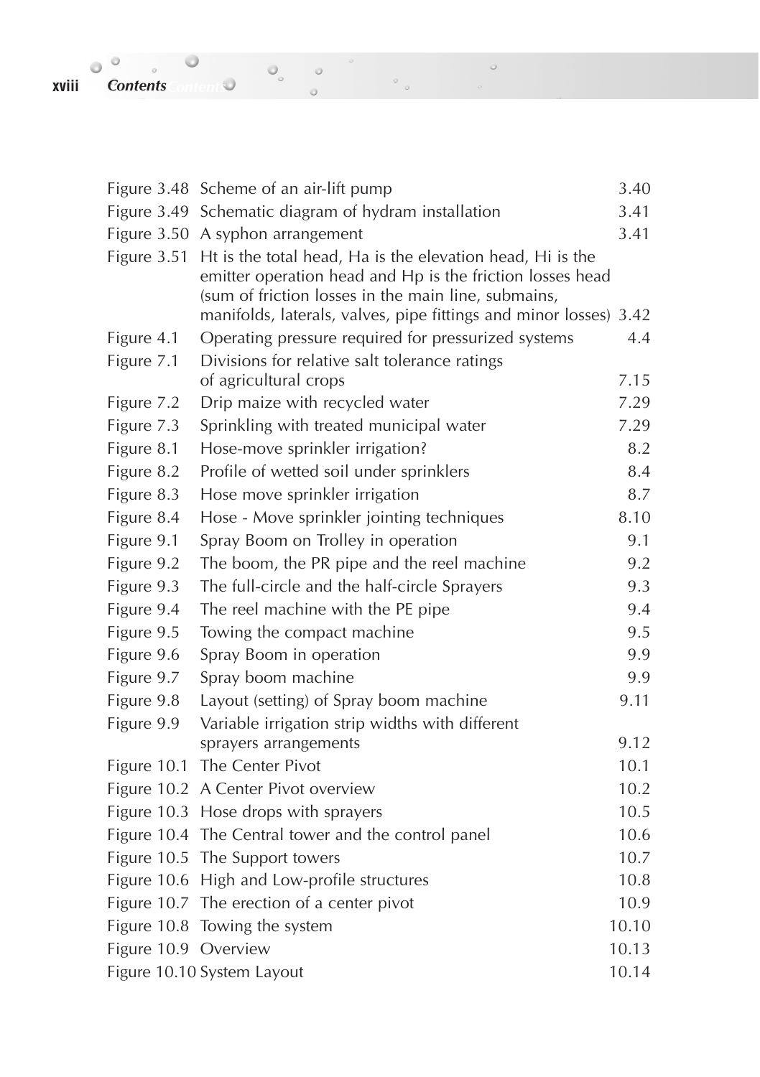**xviii** *Contents Contents Contents Contents Contents Contents Contents Contents Contents Contents Contents Contents Contents Contents Contents Contents Conten* 

|                      | Figure 3.48 Scheme of an air-lift pump                                                                                                                                                                                                             | 3.40  |
|----------------------|----------------------------------------------------------------------------------------------------------------------------------------------------------------------------------------------------------------------------------------------------|-------|
|                      | Figure 3.49 Schematic diagram of hydram installation                                                                                                                                                                                               | 3.41  |
|                      | Figure 3.50 A syphon arrangement                                                                                                                                                                                                                   | 3.41  |
| Figure 3.51          | Ht is the total head, Ha is the elevation head, Hi is the<br>emitter operation head and Hp is the friction losses head<br>(sum of friction losses in the main line, submains,<br>manifolds, laterals, valves, pipe fittings and minor losses) 3.42 |       |
| Figure 4.1           | Operating pressure required for pressurized systems                                                                                                                                                                                                | 4.4   |
| Figure 7.1           | Divisions for relative salt tolerance ratings<br>of agricultural crops                                                                                                                                                                             | 7.15  |
| Figure 7.2           | Drip maize with recycled water                                                                                                                                                                                                                     | 7.29  |
| Figure 7.3           | Sprinkling with treated municipal water                                                                                                                                                                                                            | 7.29  |
| Figure 8.1           | Hose-move sprinkler irrigation?                                                                                                                                                                                                                    | 8.2   |
| Figure 8.2           | Profile of wetted soil under sprinklers                                                                                                                                                                                                            | 8.4   |
| Figure 8.3           | Hose move sprinkler irrigation                                                                                                                                                                                                                     | 8.7   |
| Figure 8.4           | Hose - Move sprinkler jointing techniques                                                                                                                                                                                                          | 8.10  |
| Figure 9.1           | Spray Boom on Trolley in operation                                                                                                                                                                                                                 | 9.1   |
| Figure 9.2           | The boom, the PR pipe and the reel machine                                                                                                                                                                                                         | 9.2   |
| Figure 9.3           | The full-circle and the half-circle Sprayers                                                                                                                                                                                                       | 9.3   |
| Figure 9.4           | The reel machine with the PE pipe                                                                                                                                                                                                                  | 9.4   |
| Figure 9.5           | Towing the compact machine                                                                                                                                                                                                                         | 9.5   |
| Figure 9.6           | Spray Boom in operation                                                                                                                                                                                                                            | 9.9   |
| Figure 9.7           | Spray boom machine                                                                                                                                                                                                                                 | 9.9   |
| Figure 9.8           | Layout (setting) of Spray boom machine                                                                                                                                                                                                             | 9.11  |
| Figure 9.9           | Variable irrigation strip widths with different                                                                                                                                                                                                    |       |
|                      | sprayers arrangements                                                                                                                                                                                                                              | 9.12  |
| Figure 10.1          | The Center Pivot                                                                                                                                                                                                                                   | 10.1  |
|                      | Figure 10.2 A Center Pivot overview                                                                                                                                                                                                                | 10.2  |
|                      | Figure 10.3 Hose drops with sprayers                                                                                                                                                                                                               | 10.5  |
|                      | Figure 10.4 The Central tower and the control panel                                                                                                                                                                                                | 10.6  |
|                      | Figure 10.5 The Support towers                                                                                                                                                                                                                     | 10.7  |
|                      | Figure 10.6 High and Low-profile structures                                                                                                                                                                                                        | 10.8  |
|                      | Figure 10.7 The erection of a center pivot                                                                                                                                                                                                         | 10.9  |
|                      | Figure 10.8 Towing the system                                                                                                                                                                                                                      | 10.10 |
| Figure 10.9 Overview |                                                                                                                                                                                                                                                    | 10.13 |
|                      | Figure 10.10 System Layout                                                                                                                                                                                                                         | 10.14 |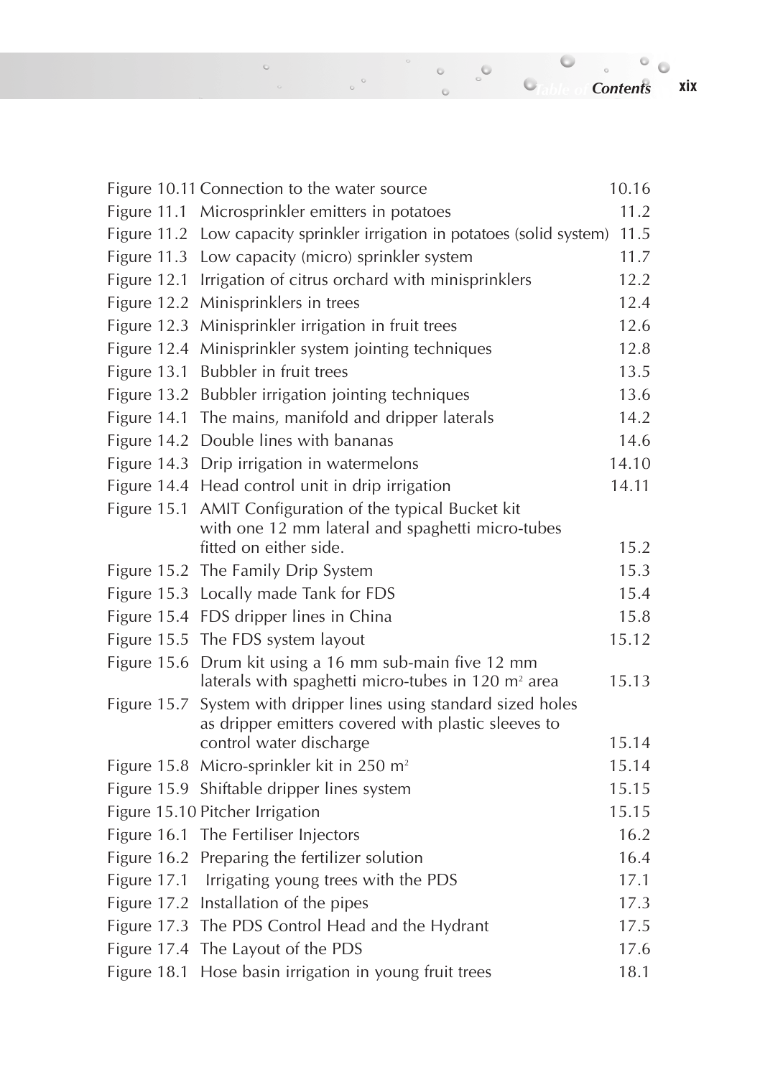Figure 10.11 Connection to the water source 10.16 Figure 11.1 Microsprinkler emitters in potatoes 11.2 Figure 11.2 Low capacity sprinkler irrigation in potatoes (solid system) 11.5 Figure 11.3 Low capacity (micro) sprinkler system 11.7 Figure 12.1 Irrigation of citrus orchard with minisprinklers 12.2 Figure 12.2 Minisprinklers in trees 12.4 Figure 12.3 Minisprinkler irrigation in fruit trees 12.6 Figure 12.4 Minisprinkler system jointing techniques 12.8 Figure 13.1 Bubbler in fruit trees 13.5 Figure 13.2 Bubbler irrigation jointing techniques 13.6 Figure 14.1 The mains, manifold and dripper laterals 14.2 Figure 14.2 Double lines with bananas 14.6 Figure 14.3 Drip irrigation in watermelons 14.10 Figure 14.4 Head control unit in drip irrigation 14.11 Figure 15.1 AMIT Configuration of the typical Bucket kit with one 12 mm lateral and spaghetti micro-tubes fitted on either side. 15.2 Figure 15.2 The Family Drip System 15.3 Figure 15.3 Locally made Tank for FDS 15.4 Figure 15.4 FDS dripper lines in China 15.8 Figure 15.5 The FDS system layout 15.12 Figure 15.6 Drum kit using a 16 mm sub-main five 12 mm laterals with spaghetti micro-tubes in  $120 \text{ m}^2$  area 15.13 Figure 15.7 System with dripper lines using standard sized holes as dripper emitters covered with plastic sleeves to control water discharge 15.14 Figure 15.8 Micro-sprinkler kit in 250 m<sup>2</sup> 15.14 Figure 15.9 Shiftable dripper lines system 15.15 Figure 15.10 Pitcher Irrigation 15.15 Figure 16.1 The Fertiliser Injectors 16.2 Figure 16.2 Preparing the fertilizer solution 16.4 Figure 17.1 Irrigating young trees with the PDS 17.1 Figure 17.2 Installation of the pipes 17.3 Figure 17.3 The PDS Control Head and the Hydrant 17.5 Figure 17.4 The Layout of the PDS 17.6

Figure 18.1 Hose basin irrigation in young fruit trees 18.1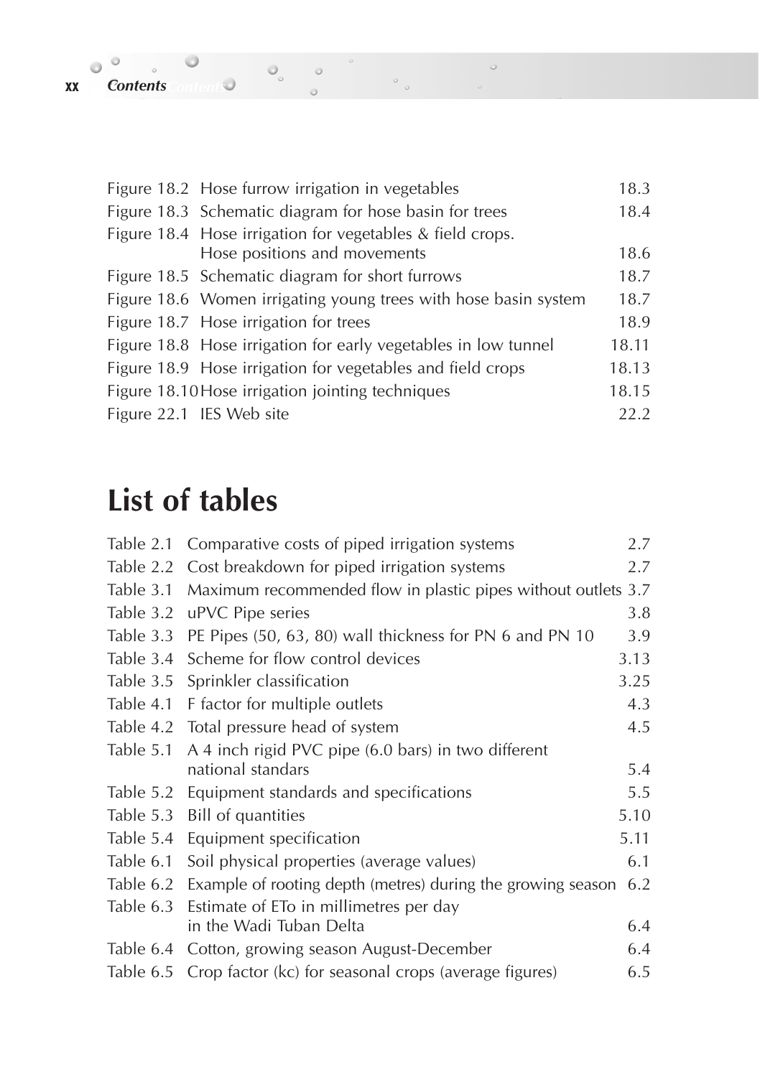| Figure 18.2 Hose furrow irrigation in vegetables                | 18.3  |
|-----------------------------------------------------------------|-------|
| Figure 18.3 Schematic diagram for hose basin for trees          | 18.4  |
| Figure 18.4 Hose irrigation for vegetables & field crops.       |       |
| Hose positions and movements                                    | 18.6  |
| Figure 18.5 Schematic diagram for short furrows                 | 18.7  |
| Figure 18.6 Women irrigating young trees with hose basin system | 18.7  |
| Figure 18.7 Hose irrigation for trees                           | 18.9  |
| Figure 18.8 Hose irrigation for early vegetables in low tunnel  | 18.11 |
| Figure 18.9 Hose irrigation for vegetables and field crops      | 18.13 |
| Figure 18.10 Hose irrigation jointing techniques                | 18.15 |
| Figure 22.1 IES Web site                                        | 22.2  |

 $\begin{array}{c} \circ \\ \circ \end{array}$ 

 $\circ$ 

## **List of tables**

| Table 2.1 | Comparative costs of piped irrigation systems                   | 2.7  |
|-----------|-----------------------------------------------------------------|------|
| Table 2.2 | Cost breakdown for piped irrigation systems                     | 2.7  |
| Table 3.1 | Maximum recommended flow in plastic pipes without outlets 3.7   |      |
| Table 3.2 | uPVC Pipe series                                                | 3.8  |
| Table 3.3 | PE Pipes (50, 63, 80) wall thickness for PN 6 and PN 10         | 3.9  |
| Table 3.4 | Scheme for flow control devices                                 | 3.13 |
| Table 3.5 | Sprinkler classification                                        | 3.25 |
| Table 4.1 | F factor for multiple outlets                                   | 4.3  |
| Table 4.2 | Total pressure head of system                                   | 4.5  |
| Table 5.1 | A 4 inch rigid PVC pipe (6.0 bars) in two different             |      |
|           | national standars                                               | 5.4  |
| Table 5.2 | Equipment standards and specifications                          | 5.5  |
| Table 5.3 | Bill of quantities                                              | 5.10 |
| Table 5.4 | Equipment specification                                         | 5.11 |
| Table 6.1 | Soil physical properties (average values)                       | 6.1  |
| Table 6.2 | Example of rooting depth (metres) during the growing season     | 6.2  |
| Table 6.3 | Estimate of ETo in millimetres per day                          |      |
|           | in the Wadi Tuban Delta                                         | 6.4  |
|           | Table 6.4 Cotton, growing season August-December                | 6.4  |
|           | Table 6.5 Crop factor (kc) for seasonal crops (average figures) | 6.5  |

 $\circ$ 

 $\mathcal{L}$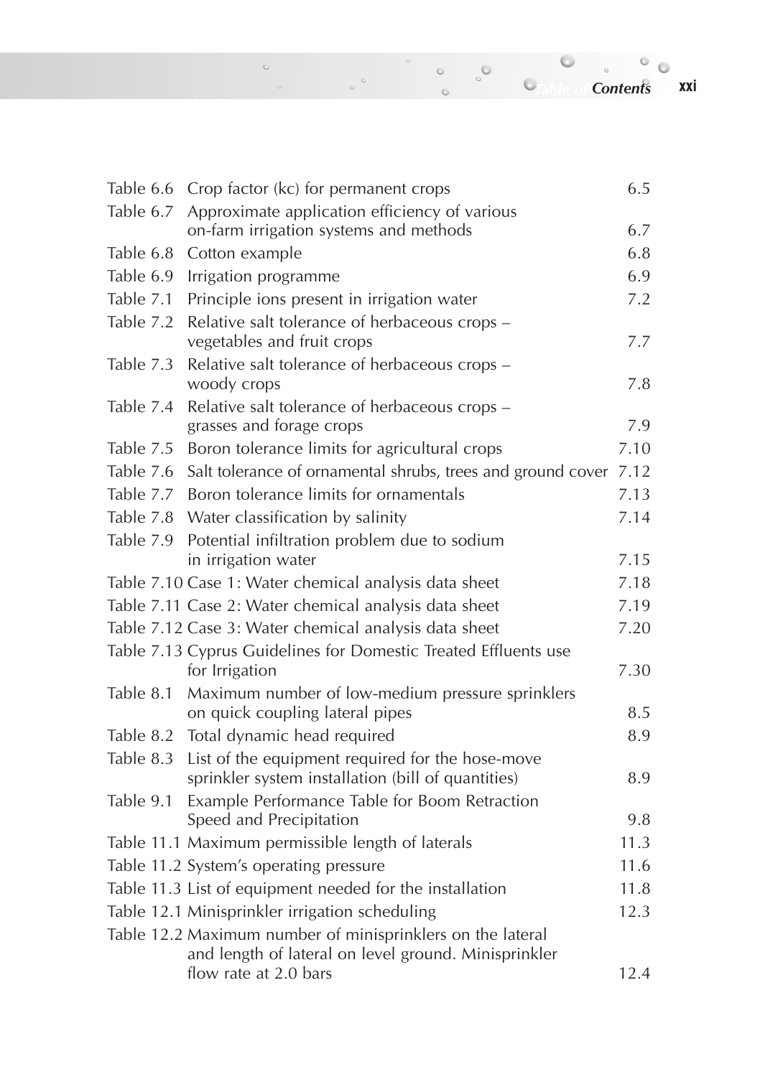*Table of Contents Contents***xxi**

| Table 6.6 | Crop factor (kc) for permanent crops                                                                               | 6.5  |
|-----------|--------------------------------------------------------------------------------------------------------------------|------|
| Table 6.7 | Approximate application efficiency of various<br>on-farm irrigation systems and methods                            | 6.7  |
| Table 6.8 | Cotton example                                                                                                     | 6.8  |
| Table 6.9 | Irrigation programme                                                                                               | 6.9  |
| Table 7.1 | Principle ions present in irrigation water                                                                         | 7.2  |
| Table 7.2 | Relative salt tolerance of herbaceous crops -<br>vegetables and fruit crops                                        | 7.7  |
| Table 7.3 | Relative salt tolerance of herbaceous crops -<br>woody crops                                                       | 7.8  |
| Table 7.4 | Relative salt tolerance of herbaceous crops -<br>grasses and forage crops                                          | 7.9  |
| Table 7.5 | Boron tolerance limits for agricultural crops                                                                      | 7.10 |
| Table 7.6 | Salt tolerance of ornamental shrubs, trees and ground cover                                                        | 7.12 |
| Table 7.7 | Boron tolerance limits for ornamentals                                                                             | 7.13 |
| Table 7.8 | Water classification by salinity                                                                                   | 7.14 |
| Table 7.9 | Potential infiltration problem due to sodium<br>in irrigation water                                                | 7.15 |
|           | Table 7.10 Case 1: Water chemical analysis data sheet                                                              | 7.18 |
|           | Table 7.11 Case 2: Water chemical analysis data sheet                                                              | 7.19 |
|           | Table 7.12 Case 3: Water chemical analysis data sheet                                                              | 7.20 |
|           | Table 7.13 Cyprus Guidelines for Domestic Treated Effluents use<br>for Irrigation                                  | 7.30 |
| Table 8.1 | Maximum number of low-medium pressure sprinklers                                                                   |      |
|           | on quick coupling lateral pipes                                                                                    | 8.5  |
|           | Table 8.2 Total dynamic head required                                                                              | 8.9  |
| Table 8.3 | List of the equipment required for the hose-move<br>sprinkler system installation (bill of quantities)             | 8.9  |
| Table 9.1 | Example Performance Table for Boom Retraction<br>Speed and Precipitation                                           | 9.8  |
|           | Table 11.1 Maximum permissible length of laterals                                                                  | 11.3 |
|           | Table 11.2 System's operating pressure                                                                             | 11.6 |
|           | Table 11.3 List of equipment needed for the installation                                                           | 11.8 |
|           | Table 12.1 Minisprinkler irrigation scheduling                                                                     | 12.3 |
|           | Table 12.2 Maximum number of minisprinklers on the lateral<br>and length of lateral on level ground. Minisprinkler |      |
|           | flow rate at 2.0 bars                                                                                              | 12.4 |

 $\circ$  .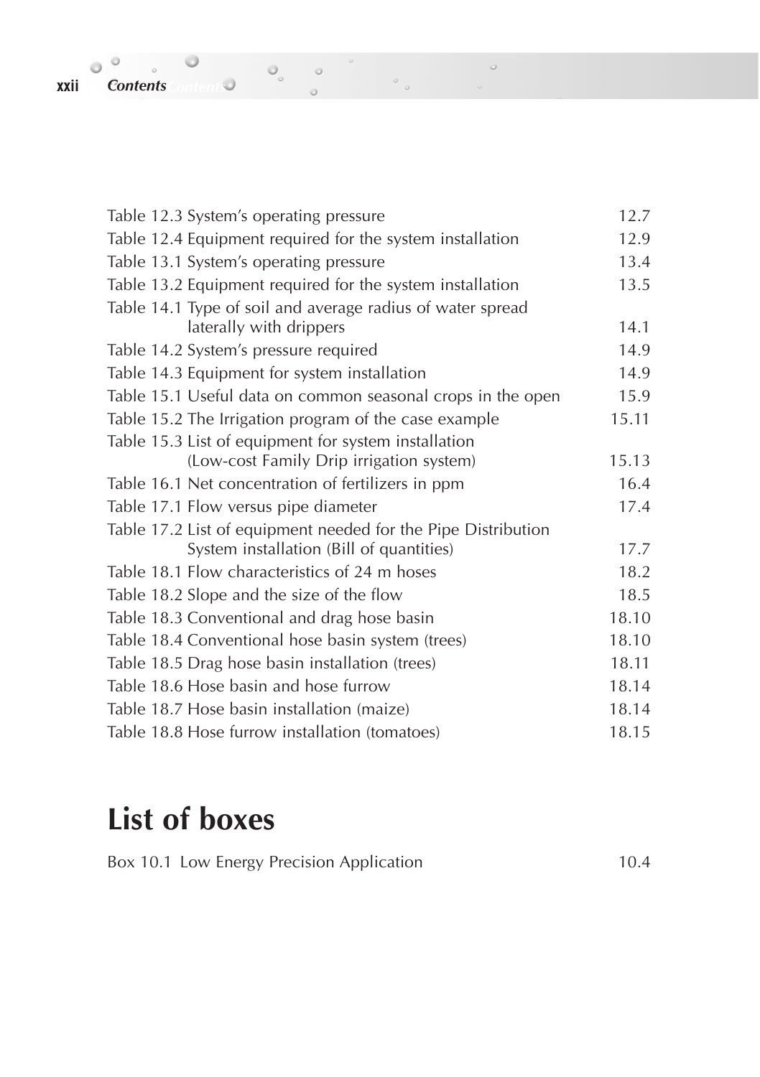| Table 12.3 System's operating pressure                        | 12.7  |
|---------------------------------------------------------------|-------|
| Table 12.4 Equipment required for the system installation     | 12.9  |
| Table 13.1 System's operating pressure                        | 13.4  |
| Table 13.2 Equipment required for the system installation     | 13.5  |
| Table 14.1 Type of soil and average radius of water spread    |       |
| laterally with drippers                                       | 14.1  |
| Table 14.2 System's pressure required                         | 14.9  |
| Table 14.3 Equipment for system installation                  | 14.9  |
| Table 15.1 Useful data on common seasonal crops in the open   | 15.9  |
| Table 15.2 The Irrigation program of the case example         | 15.11 |
| Table 15.3 List of equipment for system installation          |       |
| (Low-cost Family Drip irrigation system)                      | 15.13 |
| Table 16.1 Net concentration of fertilizers in ppm            | 16.4  |
| Table 17.1 Flow versus pipe diameter                          | 17.4  |
| Table 17.2 List of equipment needed for the Pipe Distribution |       |
| System installation (Bill of quantities)                      | 17.7  |
| Table 18.1 Flow characteristics of 24 m hoses                 | 18.2  |
| Table 18.2 Slope and the size of the flow                     | 18.5  |
| Table 18.3 Conventional and drag hose basin                   | 18.10 |
| Table 18.4 Conventional hose basin system (trees)             | 18.10 |
| Table 18.5 Drag hose basin installation (trees)               | 18.11 |
| Table 18.6 Hose basin and hose furrow                         | 18.14 |
| Table 18.7 Hose basin installation (maize)                    | 18.14 |
| Table 18.8 Hose furrow installation (tomatoes)                | 18.15 |

 $\circ$ 

 $\circ$ 

 $\circ$ 

 $\circ$ 

# **List of boxes**

Box 10.1 Low Energy Precision Application 10.4

*xxii Contents Contents* 

 $\bullet$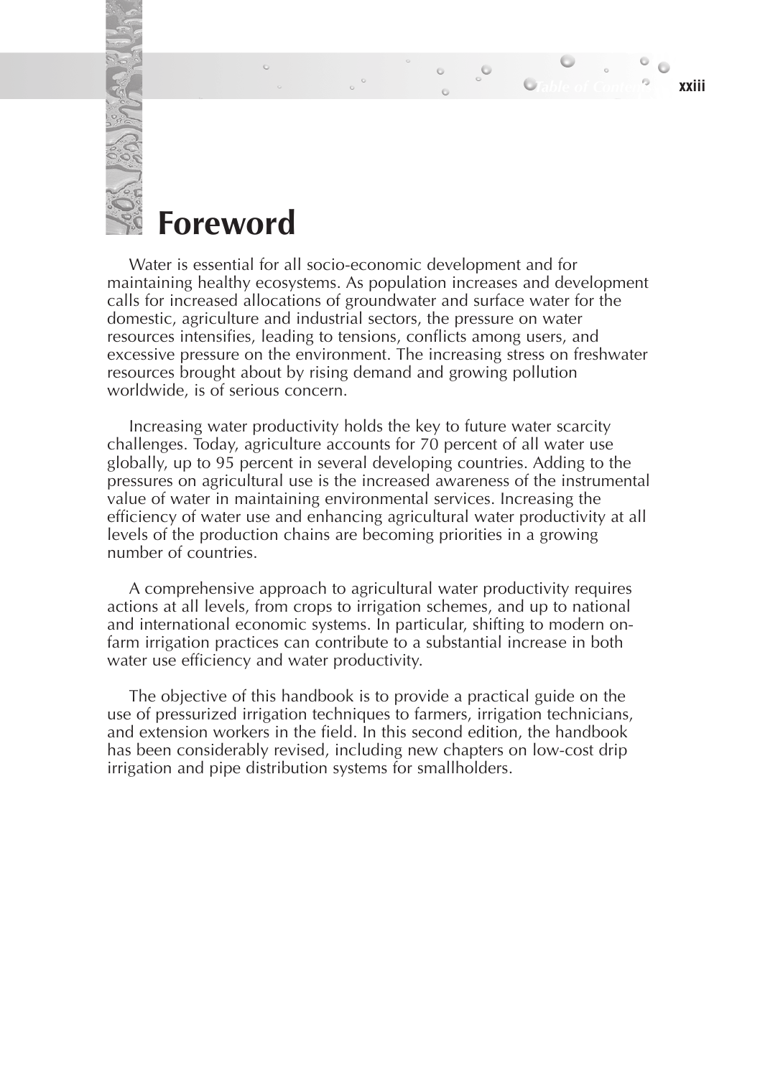### **Foreword**

Water is essential for all socio-economic development and for maintaining healthy ecosystems. As population increases and development calls for increased allocations of groundwater and surface water for the domestic, agriculture and industrial sectors, the pressure on water resources intensifies, leading to tensions, conflicts among users, and excessive pressure on the environment. The increasing stress on freshwater resources brought about by rising demand and growing pollution worldwide, is of serious concern.

*Table of Contents* **xxiii**

Increasing water productivity holds the key to future water scarcity challenges. Today, agriculture accounts for 70 percent of all water use globally, up to 95 percent in several developing countries. Adding to the pressures on agricultural use is the increased awareness of the instrumental value of water in maintaining environmental services. Increasing the efficiency of water use and enhancing agricultural water productivity at all levels of the production chains are becoming priorities in a growing number of countries.

A comprehensive approach to agricultural water productivity requires actions at all levels, from crops to irrigation schemes, and up to national and international economic systems. In particular, shifting to modern onfarm irrigation practices can contribute to a substantial increase in both water use efficiency and water productivity.

The objective of this handbook is to provide a practical guide on the use of pressurized irrigation techniques to farmers, irrigation technicians, and extension workers in the field. In this second edition, the handbook has been considerably revised, including new chapters on low-cost drip irrigation and pipe distribution systems for smallholders.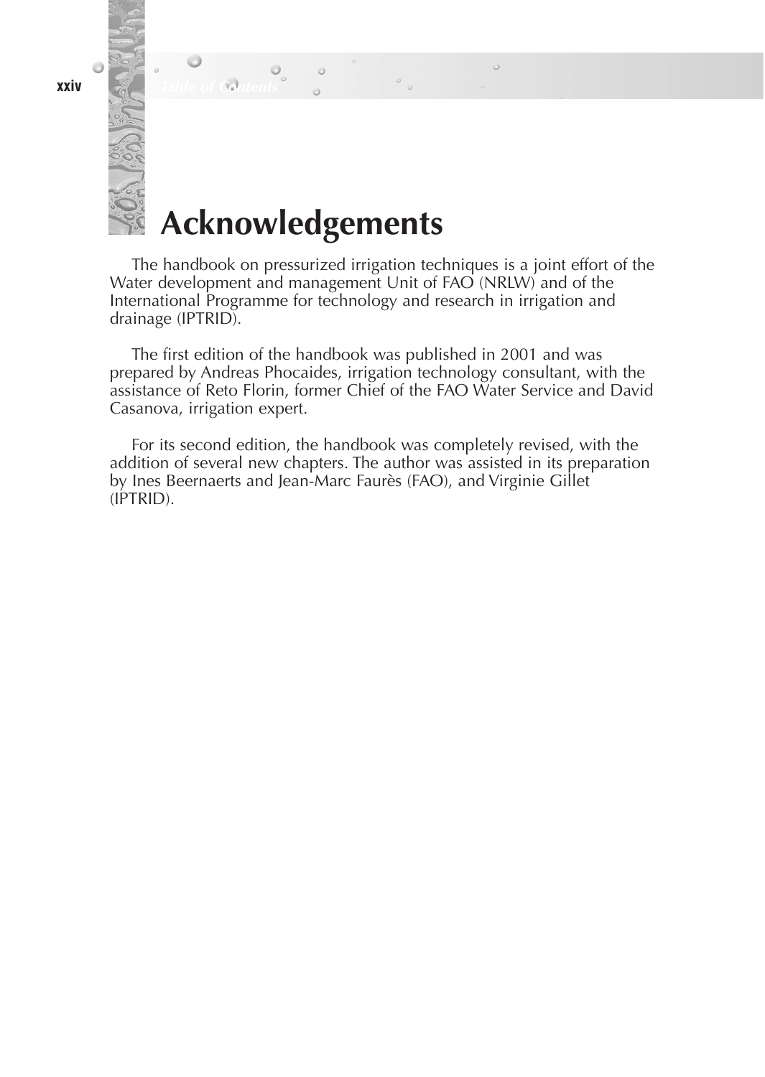**xxiv** *Table of Contents*

# **Acknowledgements**

The handbook on pressurized irrigation techniques is a joint effort of the Water development and management Unit of FAO (NRLW) and of the International Programme for technology and research in irrigation and drainage (IPTRID).

The first edition of the handbook was published in 2001 and was prepared by Andreas Phocaides, irrigation technology consultant, with the assistance of Reto Florin, former Chief of the FAO Water Service and David Casanova, irrigation expert.

For its second edition, the handbook was completely revised, with the addition of several new chapters. The author was assisted in its preparation by Ines Beernaerts and Jean-Marc Faurès (FAO), and Virginie Gillet (IPTRID).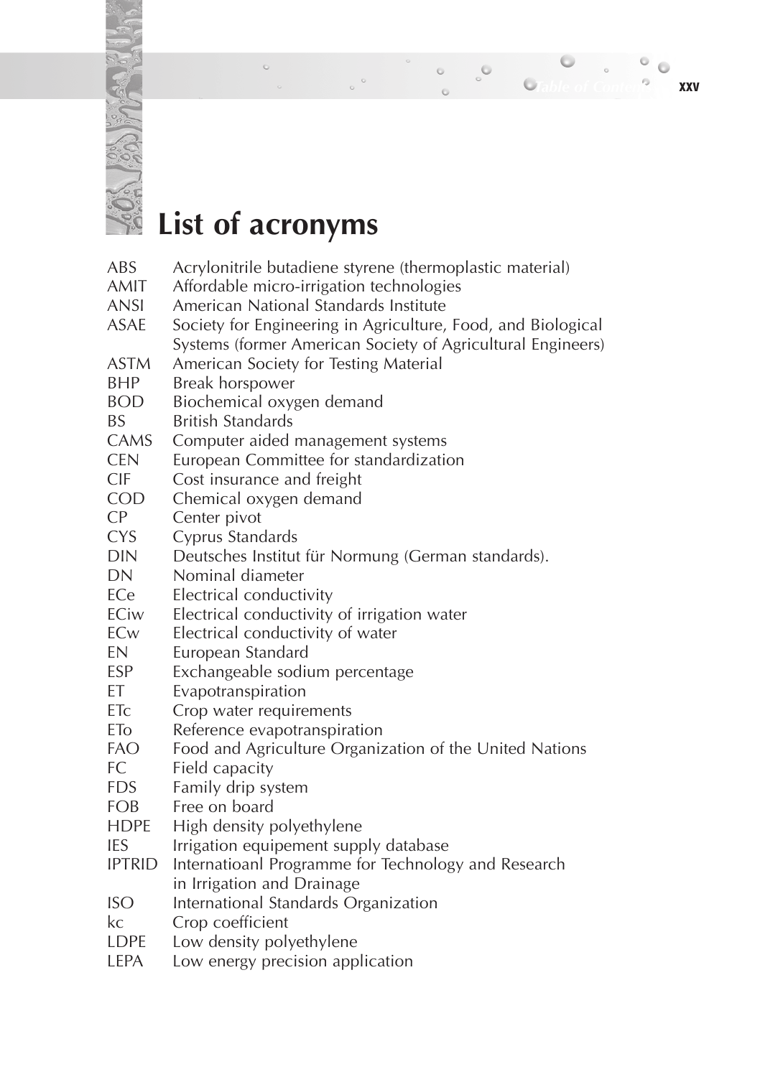# **List of acronyms**

 $\overline{a}$ 

 $\ddot{\circ}$ 

| ABS             | Acrylonitrile butadiene styrene (thermoplastic material)     |
|-----------------|--------------------------------------------------------------|
| <b>AMIT</b>     | Affordable micro-irrigation technologies                     |
| <b>ANSI</b>     | American National Standards Institute                        |
| ASAE            | Society for Engineering in Agriculture, Food, and Biological |
|                 | Systems (former American Society of Agricultural Engineers)  |
| <b>ASTM</b>     | American Society for Testing Material                        |
| BHP             | Break horspower                                              |
| <b>BOD</b>      | Biochemical oxygen demand                                    |
| <b>BS</b>       | <b>British Standards</b>                                     |
| CAMS            | Computer aided management systems                            |
| <b>CEN</b>      | European Committee for standardization                       |
| <b>CIF</b>      | Cost insurance and freight                                   |
| <b>COD</b>      | Chemical oxygen demand                                       |
| CP              | Center pivot                                                 |
| <b>CYS</b>      | Cyprus Standards                                             |
| <b>DIN</b>      | Deutsches Institut für Normung (German standards).           |
| <b>DN</b>       | Nominal diameter                                             |
| ECe             | Electrical conductivity                                      |
| ECiw            | Electrical conductivity of irrigation water                  |
| ECw             | Electrical conductivity of water                             |
| EN              | European Standard                                            |
| <b>ESP</b>      | Exchangeable sodium percentage                               |
| ЕT              | Evapotranspiration                                           |
| ET <sub>C</sub> | Crop water requirements                                      |
| ETo             | Reference evapotranspiration                                 |
| <b>FAO</b>      | Food and Agriculture Organization of the United Nations      |
| FC.             | Field capacity                                               |
| <b>FDS</b>      | Family drip system                                           |
| FOB             | Free on board                                                |
| <b>HDPE</b>     | High density polyethylene                                    |
| <b>IES</b>      | Irrigation equipement supply database                        |
| <b>IPTRID</b>   | Internatioanl Programme for Technology and Research          |
|                 | in Irrigation and Drainage                                   |
| <b>ISO</b>      | International Standards Organization                         |
| kc              | Crop coefficient                                             |
| <b>LDPE</b>     | Low density polyethylene                                     |
| LEPA            | Low energy precision application                             |